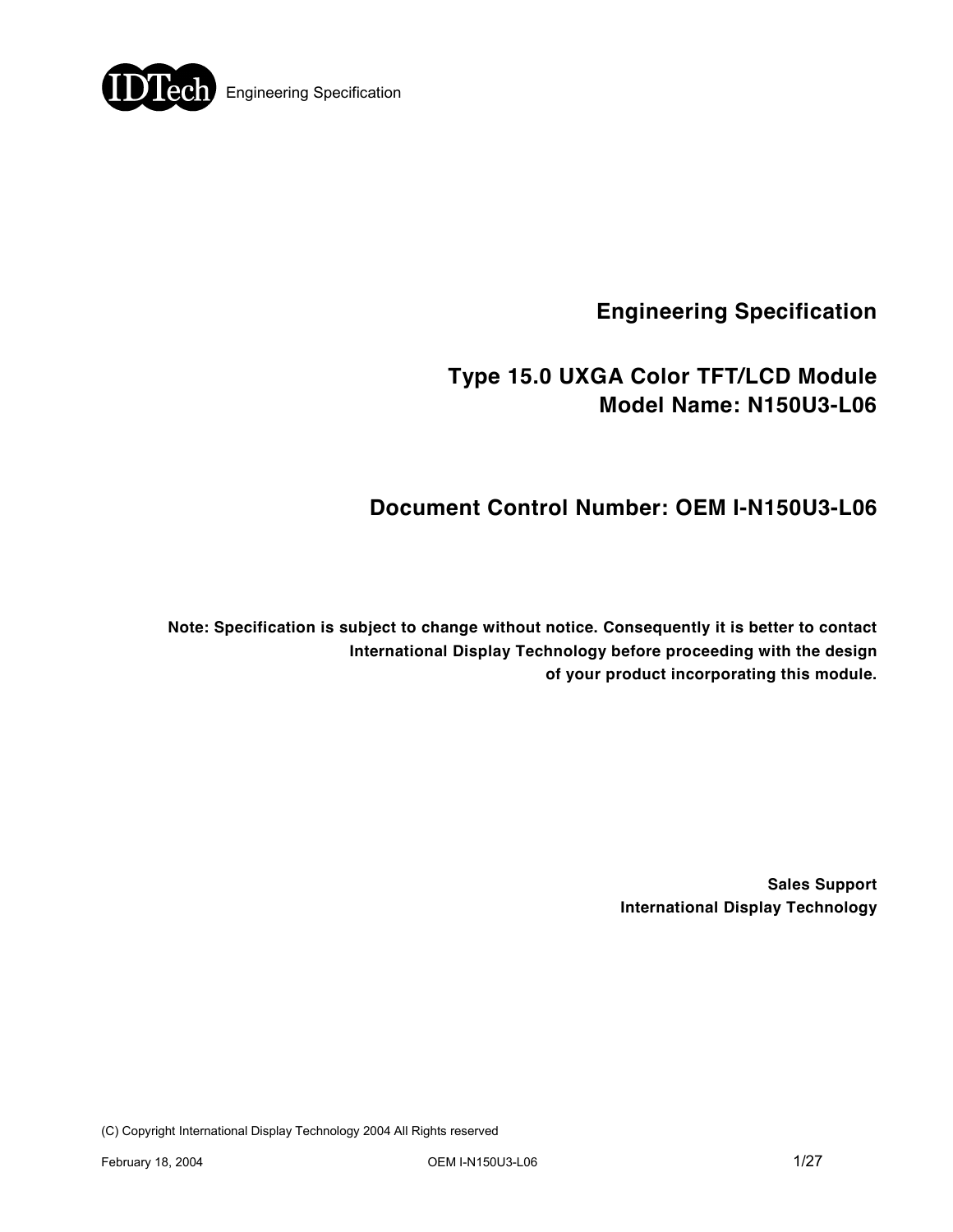

**Engineering Specification** 

# **Type 15.0 UXGA Color TFT/LCD Module Model Name: N150U3-L06**

# **Document Control Number: OEM I-N150U3-L06**

**Note: Specification is subject to change without notice. Consequently it is better to contact International Display Technology before proceeding with the design of your product incorporating this module.** 

> **Sales Support International Display Technology**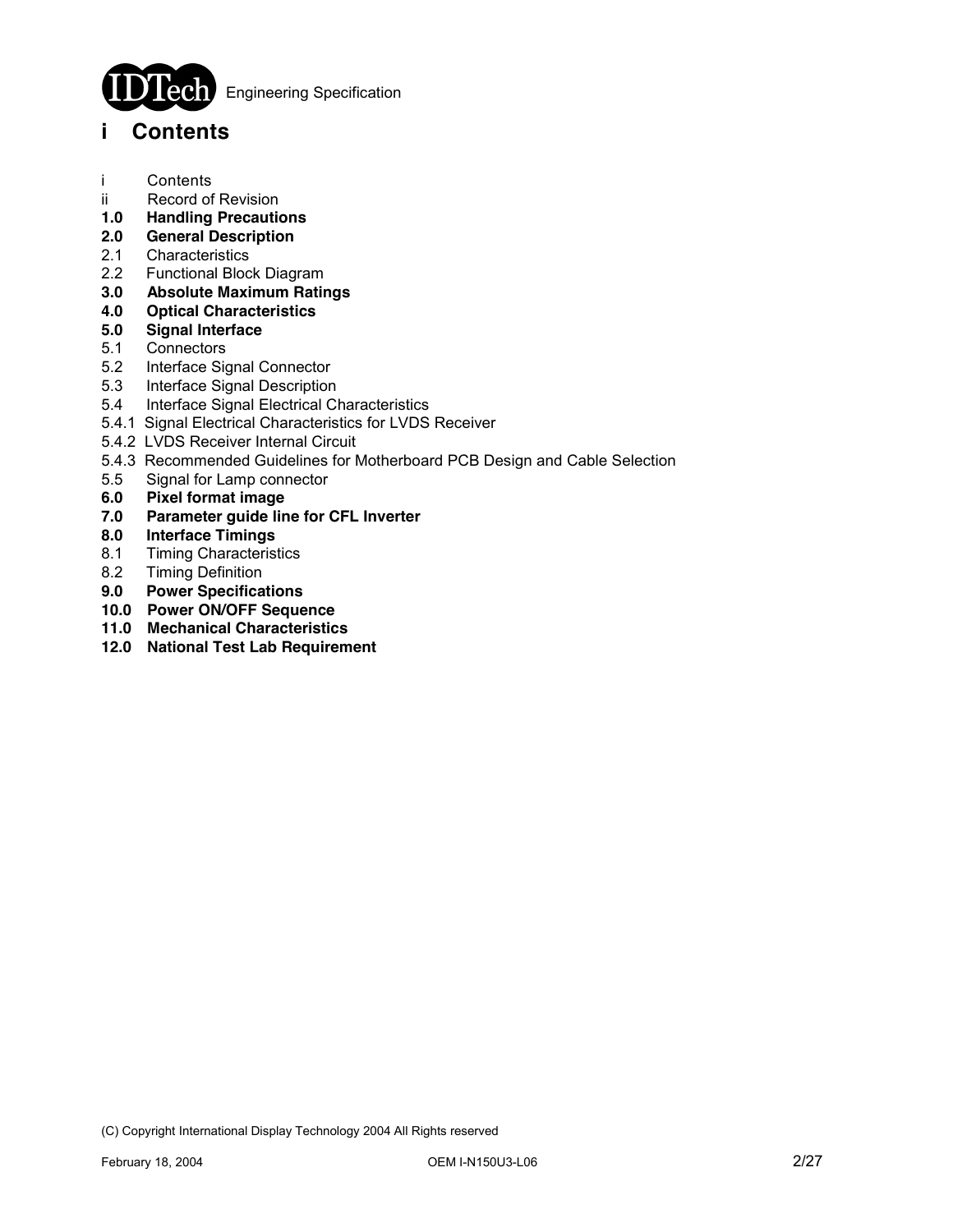

**Engineering Specification** 

### **i Contents**

- i Contents
- ii Record of Revision
- **1.0 Handling Precautions**
- **2.0 General Description**
- 2.1 Characteristics
- 2.2 Functional Block Diagram
- **3.0 Absolute Maximum Ratings**
- **4.0 Optical Characteristics**
- **5.0 Signal Interface**
- **Connectors**
- 5.2 Interface Signal Connector
- 5.3 Interface Signal Description
- 5.4 Interface Signal Electrical Characteristics
- 5.4.1 Signal Electrical Characteristics for LVDS Receiver
- 5.4.2 LVDS Receiver Internal Circuit
- 5.4.3 Recommended Guidelines for Motherboard PCB Design and Cable Selection
- 5.5 Signal for Lamp connector
- **6.0 Pixel format image**
- **7.0 Parameter guide line for CFL Inverter**
- **8.0 Interface Timings**
- **Timing Characteristics**
- 8.2 Timing Definition
- **9.0 Power Specifications**
- **10.0 Power ON/OFF Sequence**
- **11.0 Mechanical Characteristics**
- **12.0 National Test Lab Requirement**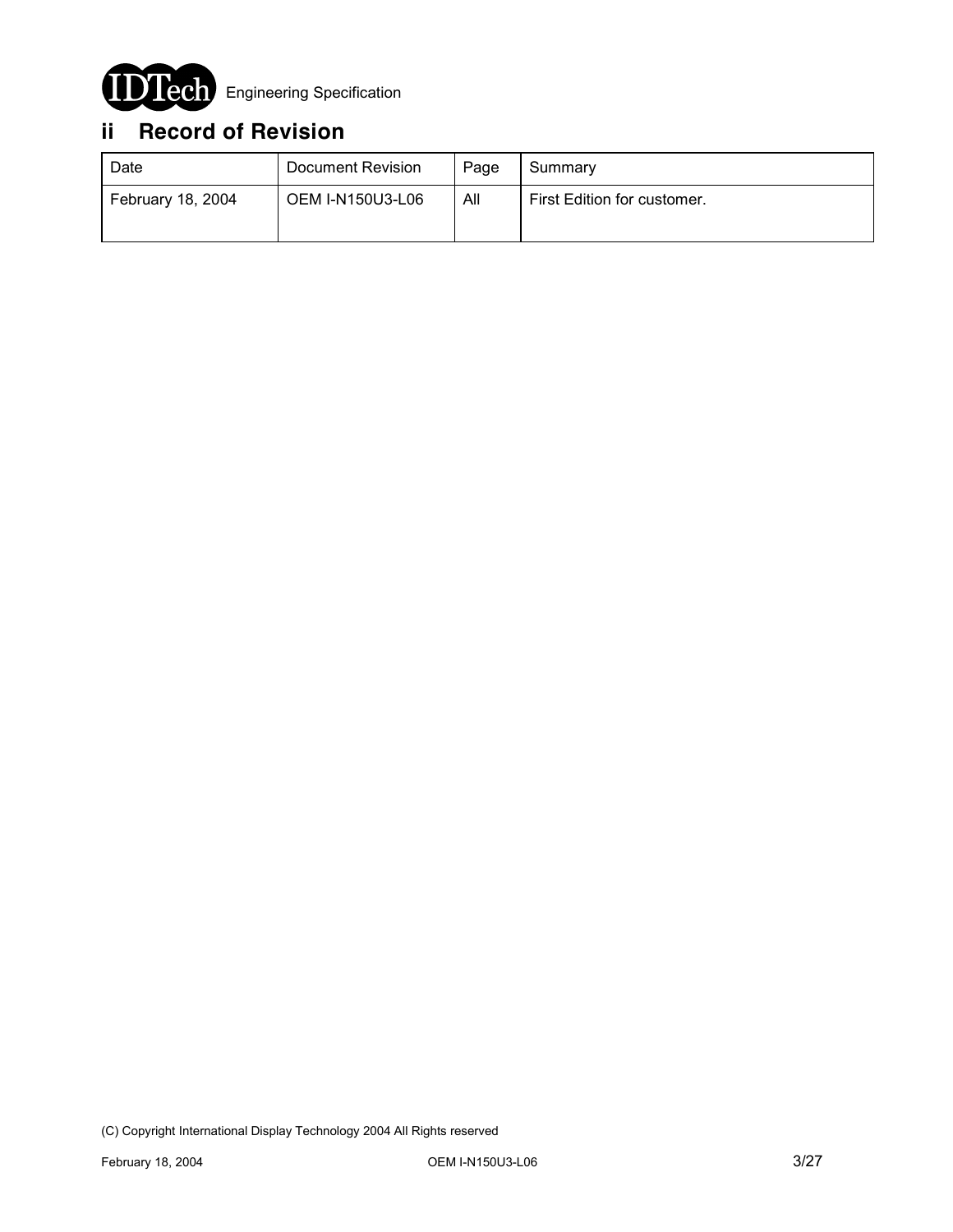

# **ii Record of Revision**

| Date              | Document Revision       | Page | Summary                     |
|-------------------|-------------------------|------|-----------------------------|
| February 18, 2004 | <b>OEM I-N150U3-L06</b> | All  | First Edition for customer. |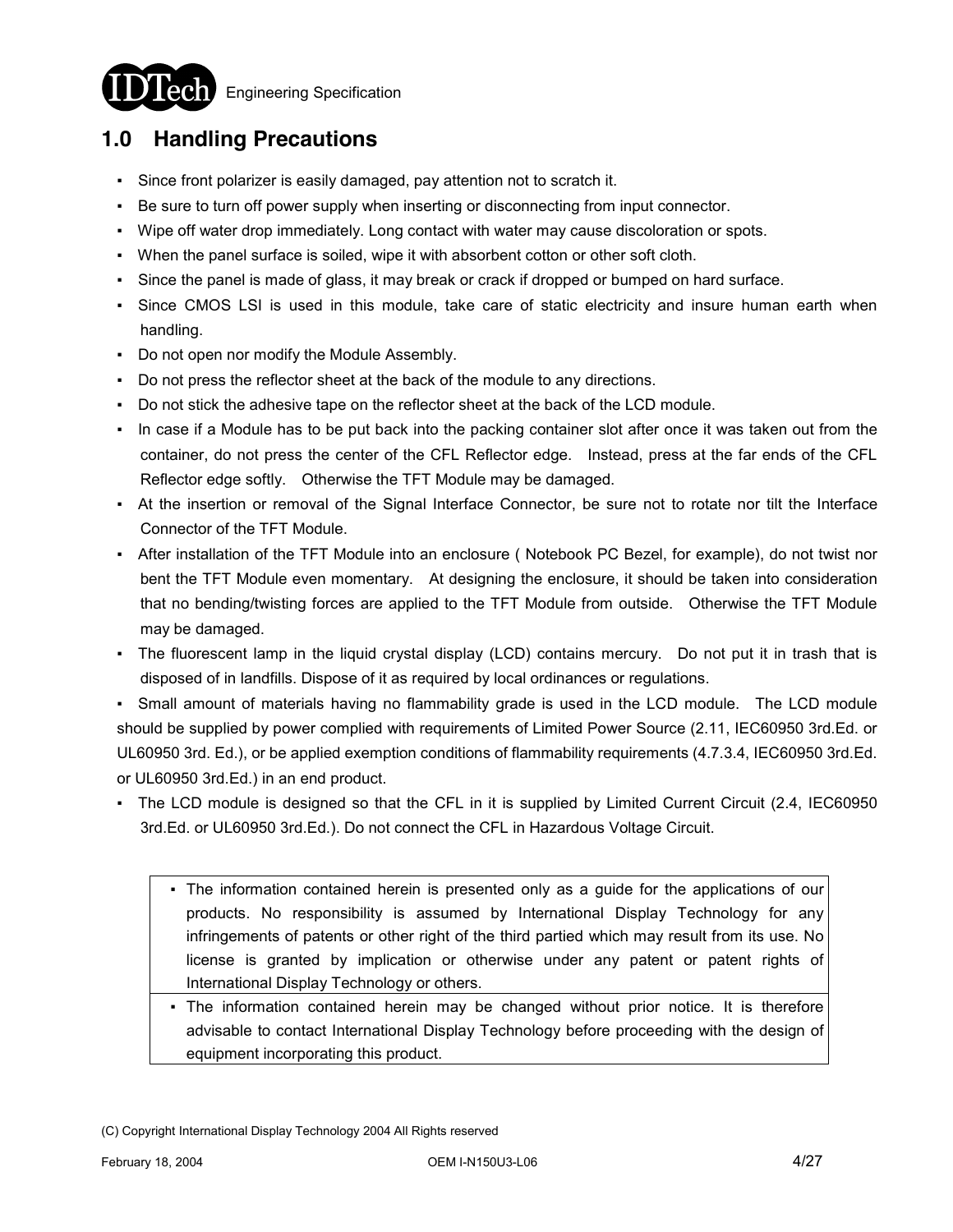

**Engineering Specification** 

# **1.0 Handling Precautions**

- Since front polarizer is easily damaged, pay attention not to scratch it.
- Be sure to turn off power supply when inserting or disconnecting from input connector.
- Wipe off water drop immediately. Long contact with water may cause discoloration or spots.
- When the panel surface is soiled, wipe it with absorbent cotton or other soft cloth.
- Since the panel is made of glass, it may break or crack if dropped or bumped on hard surface.
- Since CMOS LSI is used in this module, take care of static electricity and insure human earth when handling.
- Do not open nor modify the Module Assembly.
- Do not press the reflector sheet at the back of the module to any directions.
- Do not stick the adhesive tape on the reflector sheet at the back of the LCD module.
- In case if a Module has to be put back into the packing container slot after once it was taken out from the container, do not press the center of the CFL Reflector edge. Instead, press at the far ends of the CFL Reflector edge softly. Otherwise the TFT Module may be damaged.
- At the insertion or removal of the Signal Interface Connector, be sure not to rotate nor tilt the Interface Connector of the TFT Module.
- After installation of the TFT Module into an enclosure ( Notebook PC Bezel, for example), do not twist nor bent the TFT Module even momentary. At designing the enclosure, it should be taken into consideration that no bending/twisting forces are applied to the TFT Module from outside. Otherwise the TFT Module may be damaged.
- The fluorescent lamp in the liquid crystal display (LCD) contains mercury. Do not put it in trash that is disposed of in landfills. Dispose of it as required by local ordinances or regulations.
- Small amount of materials having no flammability grade is used in the LCD module. The LCD module should be supplied by power complied with requirements of Limited Power Source (2.11, IEC60950 3rd.Ed. or UL60950 3rd. Ed.), or be applied exemption conditions of flammability requirements (4.7.3.4, IEC60950 3rd.Ed. or UL60950 3rd.Ed.) in an end product.
- The LCD module is designed so that the CFL in it is supplied by Limited Current Circuit (2.4, IEC60950 3rd.Ed. or UL60950 3rd.Ed.). Do not connect the CFL in Hazardous Voltage Circuit.
	- The information contained herein is presented only as a guide for the applications of our products. No responsibility is assumed by International Display Technology for any infringements of patents or other right of the third partied which may result from its use. No license is granted by implication or otherwise under any patent or patent rights of International Display Technology or others.
	- The information contained herein may be changed without prior notice. It is therefore advisable to contact International Display Technology before proceeding with the design of equipment incorporating this product.

<sup>(</sup>C) Copyright International Display Technology 2004 All Rights reserved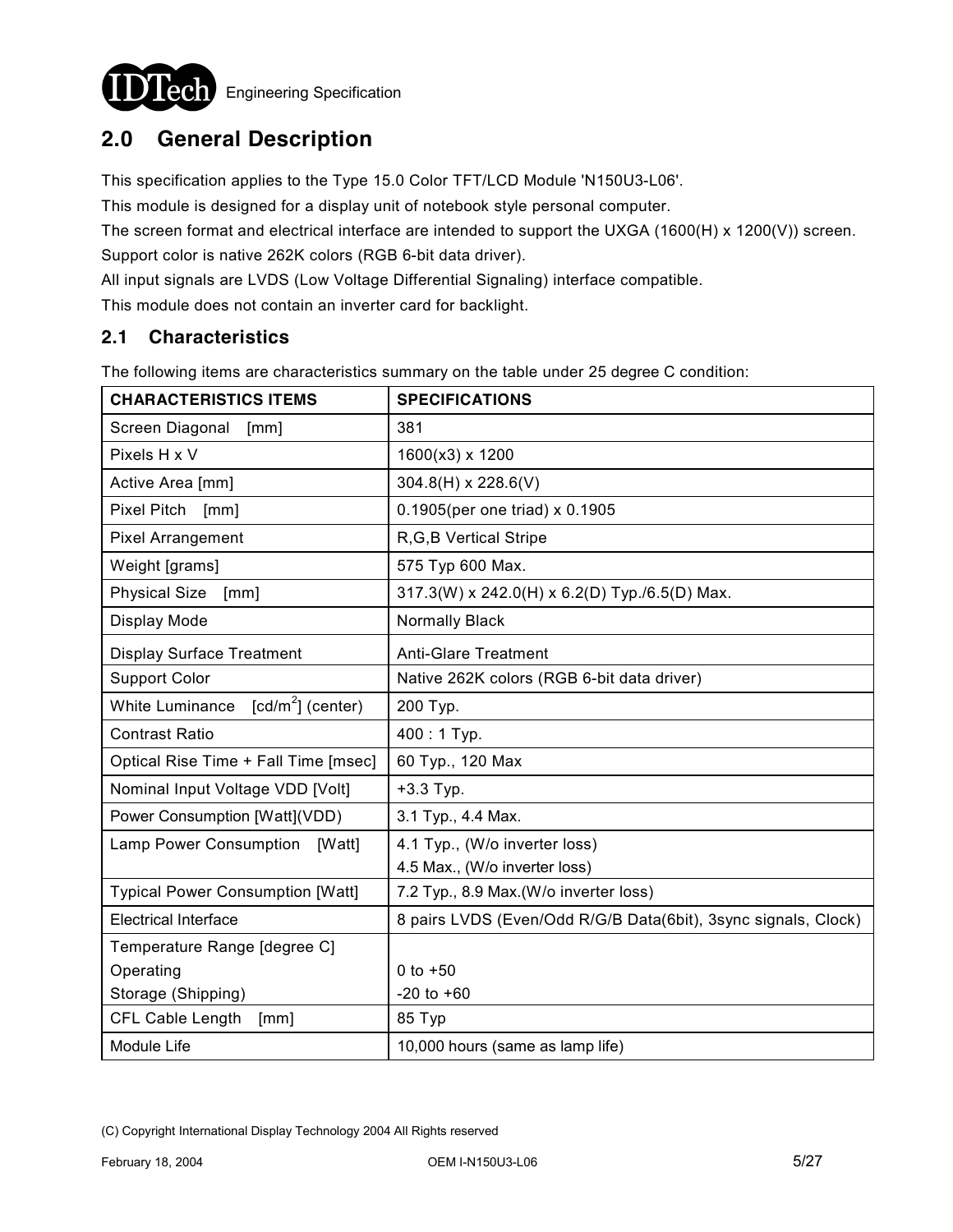

# **2.0 General Description**

This specification applies to the Type 15.0 Color TFT/LCD Module 'N150U3-L06'.

This module is designed for a display unit of notebook style personal computer.

The screen format and electrical interface are intended to support the UXGA (1600(H) x 1200(V)) screen.

Support color is native 262K colors (RGB 6-bit data driver).

All input signals are LVDS (Low Voltage Differential Signaling) interface compatible.

This module does not contain an inverter card for backlight.

#### **2.1 Characteristics**

The following items are characteristics summary on the table under 25 degree C condition:

| <b>CHARACTERISTICS ITEMS</b>            | <b>SPECIFICATIONS</b>                                          |
|-----------------------------------------|----------------------------------------------------------------|
| Screen Diagonal<br>[mm]                 | 381                                                            |
| Pixels H x V                            | 1600(x3) x 1200                                                |
| Active Area [mm]                        | $304.8(H) \times 228.6(V)$                                     |
| Pixel Pitch [mm]                        | 0.1905(per one triad) x 0.1905                                 |
| <b>Pixel Arrangement</b>                | R, G, B Vertical Stripe                                        |
| Weight [grams]                          | 575 Typ 600 Max.                                               |
| <b>Physical Size</b><br>[mm]            | 317.3(W) x 242.0(H) x 6.2(D) Typ./6.5(D) Max.                  |
| Display Mode                            | <b>Normally Black</b>                                          |
| <b>Display Surface Treatment</b>        | <b>Anti-Glare Treatment</b>                                    |
| <b>Support Color</b>                    | Native 262K colors (RGB 6-bit data driver)                     |
| $[cd/m2]$ (center)<br>White Luminance   | 200 Тур.                                                       |
| <b>Contrast Ratio</b>                   | 400:1 Typ.                                                     |
| Optical Rise Time + Fall Time [msec]    | 60 Typ., 120 Max                                               |
| Nominal Input Voltage VDD [Volt]        | $+3.3$ Typ.                                                    |
| Power Consumption [Watt](VDD)           | 3.1 Typ., 4.4 Max.                                             |
| Lamp Power Consumption<br>[Watt]        | 4.1 Typ., (W/o inverter loss)                                  |
|                                         | 4.5 Max., (W/o inverter loss)                                  |
| <b>Typical Power Consumption [Watt]</b> | 7.2 Typ., 8.9 Max.(W/o inverter loss)                          |
| <b>Electrical Interface</b>             | 8 pairs LVDS (Even/Odd R/G/B Data(6bit), 3sync signals, Clock) |
| Temperature Range [degree C]            |                                                                |
| Operating                               | $0$ to $+50$                                                   |
| Storage (Shipping)                      | $-20$ to $+60$                                                 |
| CFL Cable Length<br>[mm]                | 85 Typ                                                         |
| Module Life                             | 10,000 hours (same as lamp life)                               |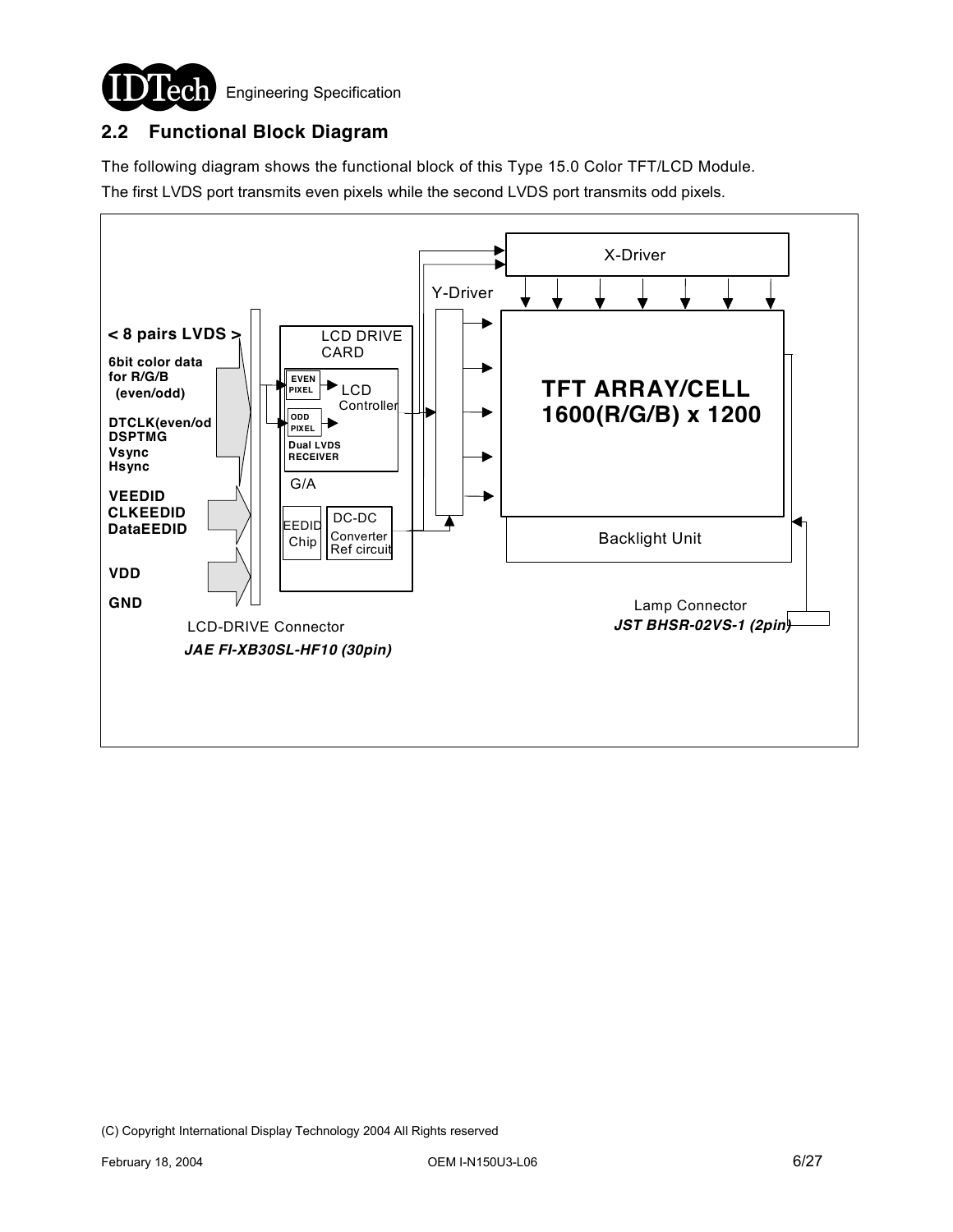

### **2.2 Functional Block Diagram**

The following diagram shows the functional block of this Type 15.0 Color TFT/LCD Module. The first LVDS port transmits even pixels while the second LVDS port transmits odd pixels.

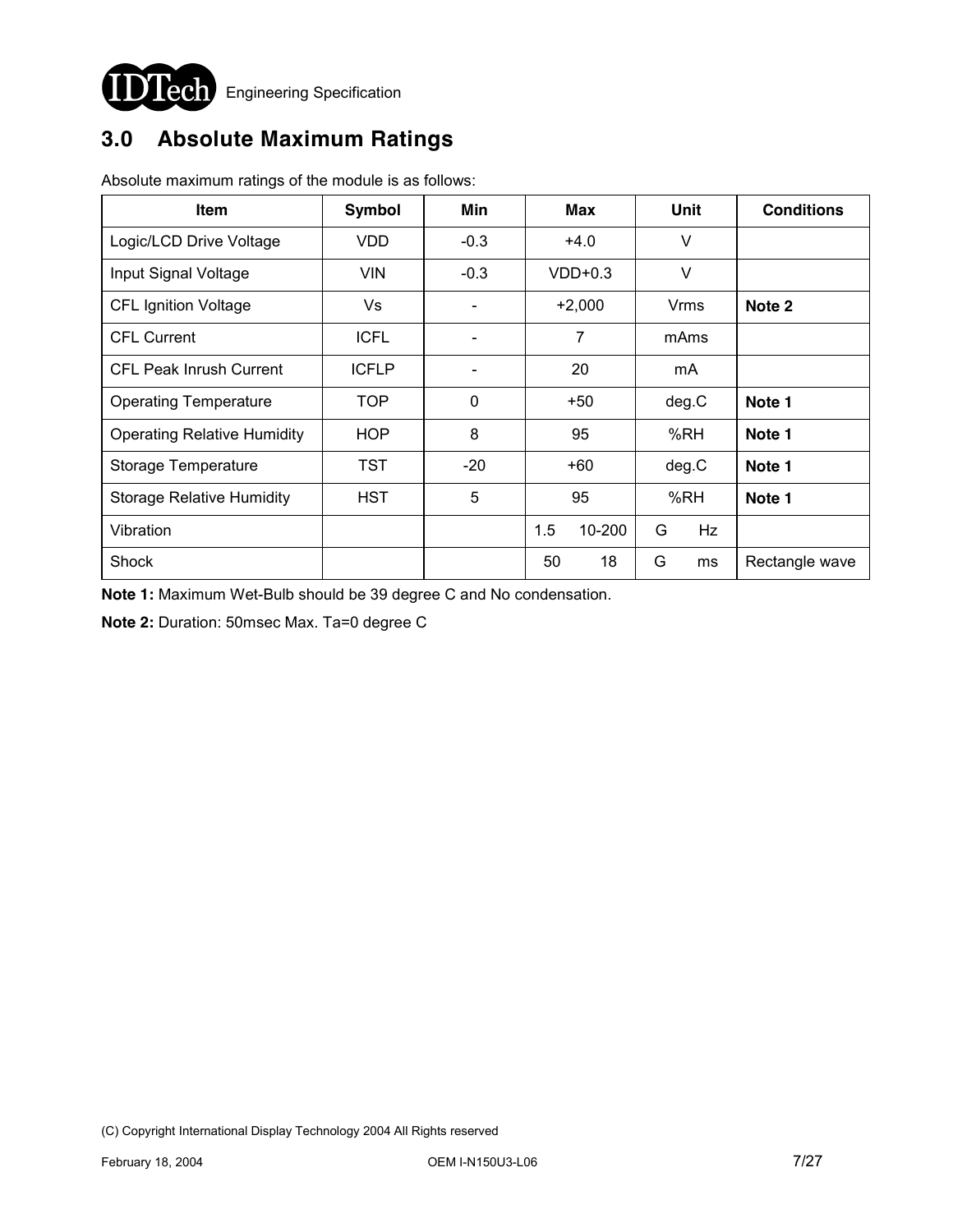

# **3.0 Absolute Maximum Ratings**

| Item                               | Symbol       | Min                          | <b>Max</b>     | Unit    | <b>Conditions</b> |
|------------------------------------|--------------|------------------------------|----------------|---------|-------------------|
| Logic/LCD Drive Voltage            | <b>VDD</b>   | $-0.3$                       | $+4.0$         | $\vee$  |                   |
| Input Signal Voltage               | <b>VIN</b>   | $-0.3$                       | $VDD+0.3$      | $\vee$  |                   |
| <b>CFL Ignition Voltage</b>        | Vs.          | $\qquad \qquad \blacksquare$ | $+2,000$       | Vrms    | Note 2            |
| <b>CFL Current</b>                 | <b>ICFL</b>  |                              | $\overline{7}$ | mAms    |                   |
| <b>CFL Peak Inrush Current</b>     | <b>ICFLP</b> |                              | 20             | mA      |                   |
| <b>Operating Temperature</b>       | TOP          | $\mathbf 0$                  | $+50$          | deg.C   | Note 1            |
| <b>Operating Relative Humidity</b> | <b>HOP</b>   | 8                            | 95             | %RH     | Note 1            |
| Storage Temperature                | TST          | $-20$                        | $+60$          | deg.C   | Note 1            |
| <b>Storage Relative Humidity</b>   | <b>HST</b>   | 5                            | 95             | %RH     | Note 1            |
| Vibration                          |              |                              | 1.5<br>10-200  | G<br>Hz |                   |
| Shock                              |              |                              | 50<br>18       | G<br>ms | Rectangle wave    |

Absolute maximum ratings of the module is as follows:

**Note 1:** Maximum Wet-Bulb should be 39 degree C and No condensation.

**Note 2:** Duration: 50msec Max. Ta=0 degree C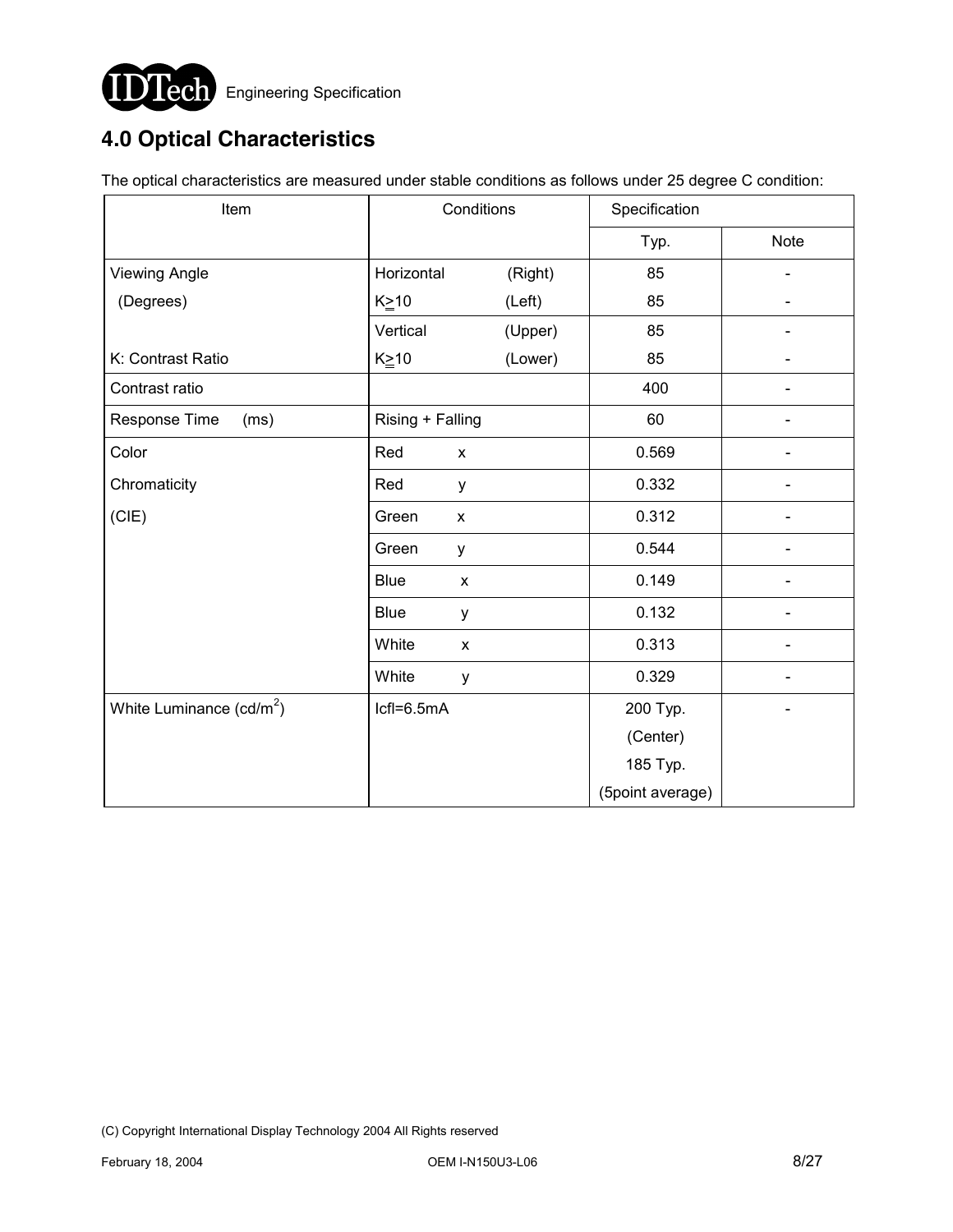

# **4.0 Optical Characteristics**

The optical characteristics are measured under stable conditions as follows under 25 degree C condition:

| Item                       | Conditions       |                | Specification |                  |             |  |
|----------------------------|------------------|----------------|---------------|------------------|-------------|--|
|                            |                  |                |               | Typ.             | <b>Note</b> |  |
| <b>Viewing Angle</b>       | Horizontal       |                | (Right)       | 85               |             |  |
| (Degrees)                  | $K \geq 10$      |                | (Left)        | 85               |             |  |
|                            | Vertical         |                | (Upper)       | 85               |             |  |
| K: Contrast Ratio          | $K \geq 10$      |                | (Lower)       | 85               |             |  |
| Contrast ratio             |                  |                |               | 400              |             |  |
| Response Time<br>(ms)      | Rising + Falling |                |               | 60               |             |  |
| Color                      | Red              | $\pmb{\times}$ |               | 0.569            |             |  |
| Chromaticity               | Red              | у              |               | 0.332            |             |  |
| (CIE)                      | Green            | X              |               | 0.312            |             |  |
|                            | Green            | у              |               | 0.544            |             |  |
|                            | <b>Blue</b>      | X              |               | 0.149            |             |  |
|                            | <b>Blue</b>      | у              |               | 0.132            |             |  |
|                            | White            | X              |               | 0.313            |             |  |
|                            | White            | y              |               | 0.329            |             |  |
| White Luminance $(cd/m^2)$ | Icfl=6.5mA       |                |               | 200 Typ.         |             |  |
|                            |                  |                |               | (Center)         |             |  |
|                            |                  |                |               | 185 Typ.         |             |  |
|                            |                  |                |               | (5point average) |             |  |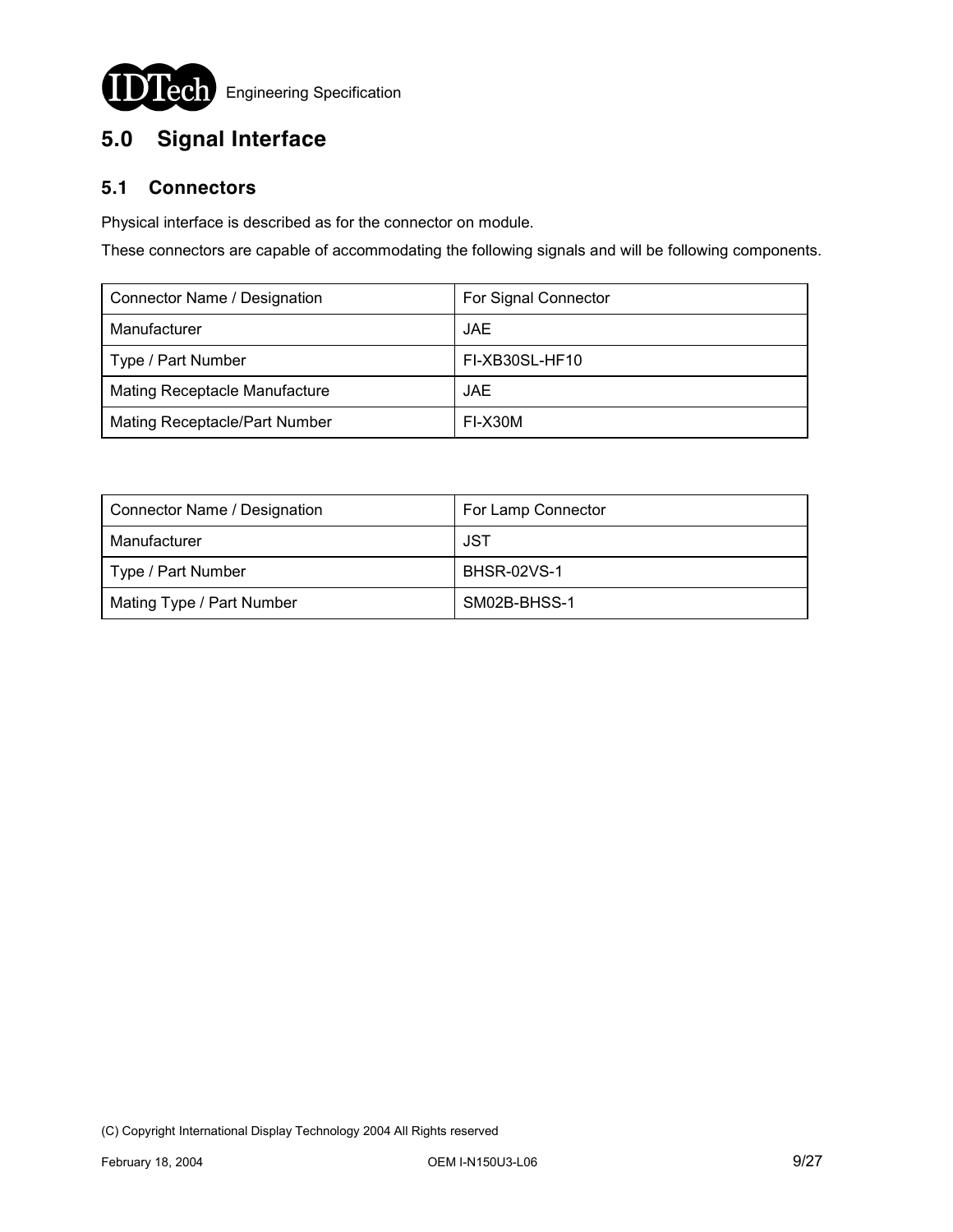

# **5.0 Signal Interface**

### **5.1 Connectors**

Physical interface is described as for the connector on module.

These connectors are capable of accommodating the following signals and will be following components.

| Connector Name / Designation         | For Signal Connector |
|--------------------------------------|----------------------|
| Manufacturer                         | JAE.                 |
| Type / Part Number                   | FI-XB30SL-HF10       |
| <b>Mating Receptacle Manufacture</b> | JAE.                 |
| Mating Receptacle/Part Number        | FI-X30M              |

| Connector Name / Designation | For Lamp Connector |
|------------------------------|--------------------|
| Manufacturer                 | JST                |
| Type / Part Number           | <b>BHSR-02VS-1</b> |
| Mating Type / Part Number    | SM02B-BHSS-1       |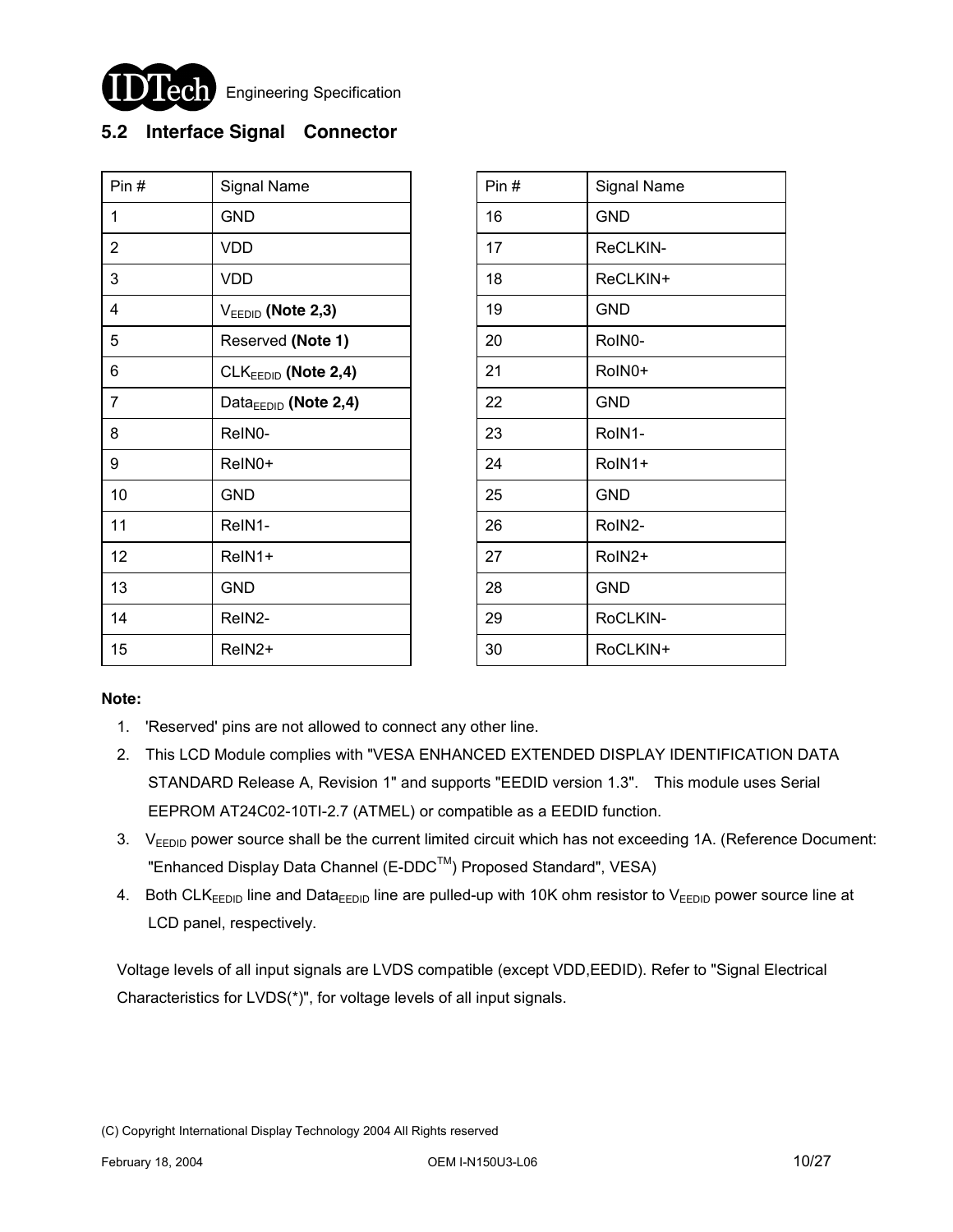

Engineering Specification

### **5.2 Interface Signal Connector**

| Pin#           | Signal Name                      | Pin# | Signal Name |
|----------------|----------------------------------|------|-------------|
| 1              | <b>GND</b>                       | 16   | <b>GND</b>  |
| $\overline{2}$ | <b>VDD</b>                       | 17   | ReCLKIN-    |
| 3              | <b>VDD</b>                       | 18   | ReCLKIN+    |
| 4              | $V_{EEDID}$ (Note 2,3)           | 19   | <b>GND</b>  |
| 5              | Reserved (Note 1)                | 20   | RoIN0-      |
| 6              | CLKEEDID (Note 2,4)              | 21   | RoIN0+      |
| $\overline{7}$ | Data <sub>EEDID</sub> (Note 2,4) | 22   | <b>GND</b>  |
| 8              | ReIN0-                           | 23   | RoIN1-      |
| 9              | ReIN0+                           | 24   | RoIN1+      |
| 10             | GND                              | 25   | <b>GND</b>  |
| 11             | ReIN1-                           | 26   | RoIN2-      |
| 12             | ReIN1+                           | 27   | RoIN2+      |
| 13             | <b>GND</b>                       | 28   | <b>GND</b>  |
| 14             | ReIN2-                           | 29   | RoCLKIN-    |
| 15             | ReIN2+                           | 30   | RoCLKIN+    |

| Pin# | <b>Signal Name</b>  |
|------|---------------------|
| 16   | <b>GND</b>          |
| 17   | ReCLKIN-            |
| 18   | ReCLKIN+            |
| 19   | <b>GND</b>          |
| 20   | RoIN <sub>0</sub> - |
| 21   | RoIN0+              |
| 22   | <b>GND</b>          |
| 23   | RoIN1-              |
| 24   | RoIN1+              |
| 25   | <b>GND</b>          |
| 26   | RoIN2-              |
| 27   | RoIN2+              |
| 28   | <b>GND</b>          |
| 29   | RoCLKIN-            |
| 30   | RoCLKIN+            |

#### **Note:**

- 1. 'Reserved' pins are not allowed to connect any other line.
- 2. This LCD Module complies with "VESA ENHANCED EXTENDED DISPLAY IDENTIFICATION DATA STANDARD Release A, Revision 1" and supports "EEDID version 1.3". This module uses Serial EEPROM AT24C02-10TI-2.7 (ATMEL) or compatible as a EEDID function.
- 3. V<sub>EEDID</sub> power source shall be the current limited circuit which has not exceeding 1A. (Reference Document: "Enhanced Display Data Channel (E-DDC™) Proposed Standard", VESA)
- 4. Both CLK<sub>EEDID</sub> line and Data<sub>EEDID</sub> line are pulled-up with 10K ohm resistor to V<sub>EEDID</sub> power source line at LCD panel, respectively.

Voltage levels of all input signals are LVDS compatible (except VDD,EEDID). Refer to "Signal Electrical Characteristics for LVDS(\*)", for voltage levels of all input signals.

<sup>(</sup>C) Copyright International Display Technology 2004 All Rights reserved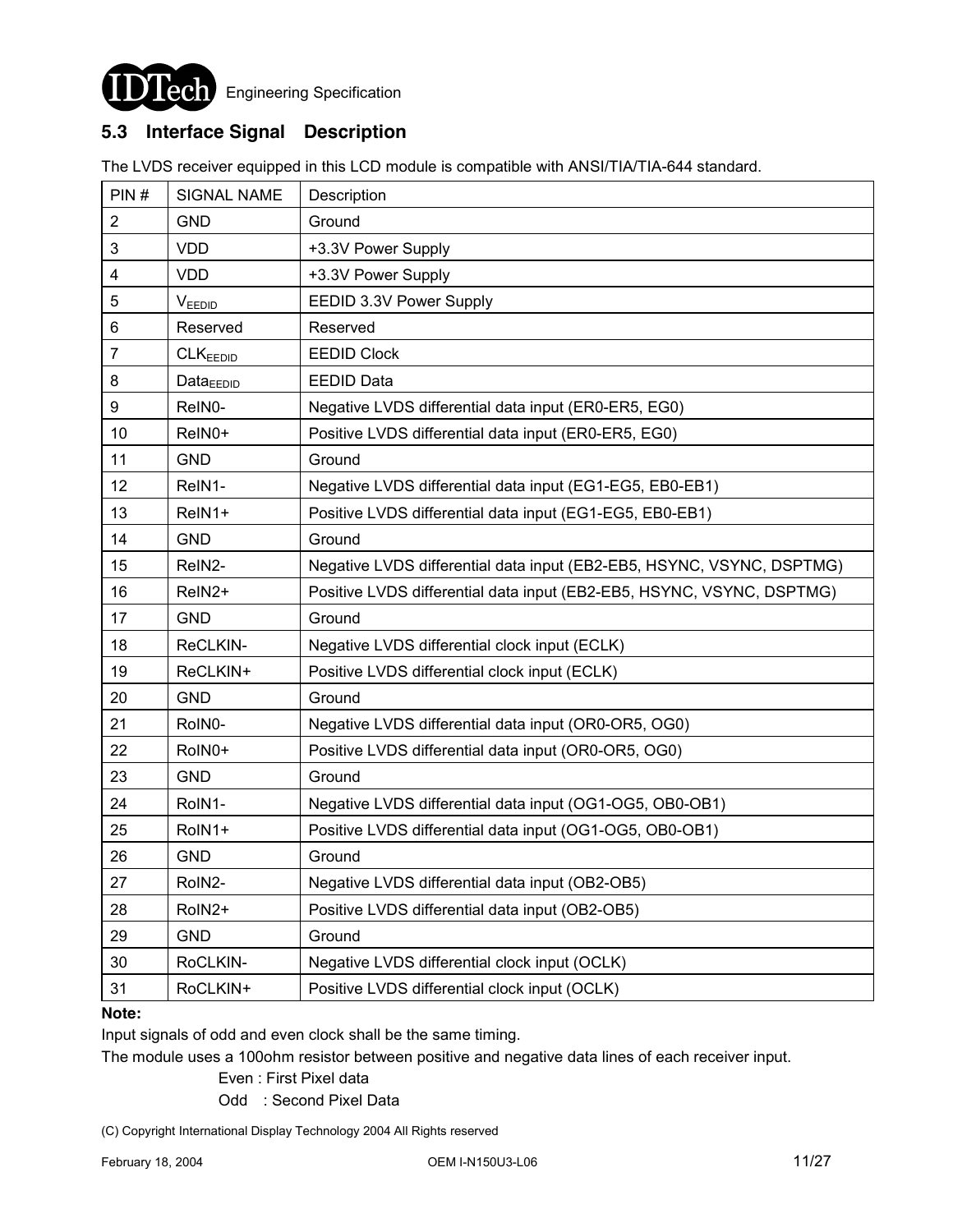

### **5.3 Interface Signal Description**

The LVDS receiver equipped in this LCD module is compatible with ANSI/TIA/TIA-644 standard.

| PIN#                    | <b>SIGNAL NAME</b>   | Description                                                           |
|-------------------------|----------------------|-----------------------------------------------------------------------|
| $\overline{\mathbf{c}}$ | <b>GND</b>           | Ground                                                                |
| 3                       | <b>VDD</b>           | +3.3V Power Supply                                                    |
| 4                       | <b>VDD</b>           | +3.3V Power Supply                                                    |
| 5                       | <b>VEEDID</b>        | EEDID 3.3V Power Supply                                               |
| 6                       | Reserved             | Reserved                                                              |
| 7                       | CLK <sub>EEDID</sub> | <b>EEDID Clock</b>                                                    |
| 8                       | $Data_{EEDID}$       | <b>EEDID Data</b>                                                     |
| 9                       | ReIN0-               | Negative LVDS differential data input (ER0-ER5, EG0)                  |
| 10                      | ReIN0+               | Positive LVDS differential data input (ER0-ER5, EG0)                  |
| 11                      | <b>GND</b>           | Ground                                                                |
| 12                      | ReIN1-               | Negative LVDS differential data input (EG1-EG5, EB0-EB1)              |
| 13                      | ReIN1+               | Positive LVDS differential data input (EG1-EG5, EB0-EB1)              |
| 14                      | <b>GND</b>           | Ground                                                                |
| 15                      | ReIN2-               | Negative LVDS differential data input (EB2-EB5, HSYNC, VSYNC, DSPTMG) |
| 16                      | ReIN <sub>2</sub> +  | Positive LVDS differential data input (EB2-EB5, HSYNC, VSYNC, DSPTMG) |
| 17                      | <b>GND</b>           | Ground                                                                |
| 18                      | ReCLKIN-             | Negative LVDS differential clock input (ECLK)                         |
| 19                      | ReCLKIN+             | Positive LVDS differential clock input (ECLK)                         |
| 20                      | <b>GND</b>           | Ground                                                                |
| 21                      | RoIN0-               | Negative LVDS differential data input (OR0-OR5, OG0)                  |
| 22                      | RoIN0+               | Positive LVDS differential data input (OR0-OR5, OG0)                  |
| 23                      | <b>GND</b>           | Ground                                                                |
| 24                      | RoIN1-               | Negative LVDS differential data input (OG1-OG5, OB0-OB1)              |
| 25                      | RoIN1+               | Positive LVDS differential data input (OG1-OG5, OB0-OB1)              |
| 26                      | <b>GND</b>           | Ground                                                                |
| 27                      | RoIN2-               | Negative LVDS differential data input (OB2-OB5)                       |
| 28                      | RoIN2+               | Positive LVDS differential data input (OB2-OB5)                       |
| 29                      | <b>GND</b>           | Ground                                                                |
| 30                      | RoCLKIN-             | Negative LVDS differential clock input (OCLK)                         |
| 31                      | RoCLKIN+             | Positive LVDS differential clock input (OCLK)                         |

#### **Note:**

Input signals of odd and even clock shall be the same timing.

The module uses a 100ohm resistor between positive and negative data lines of each receiver input.

Even : First Pixel data

Odd : Second Pixel Data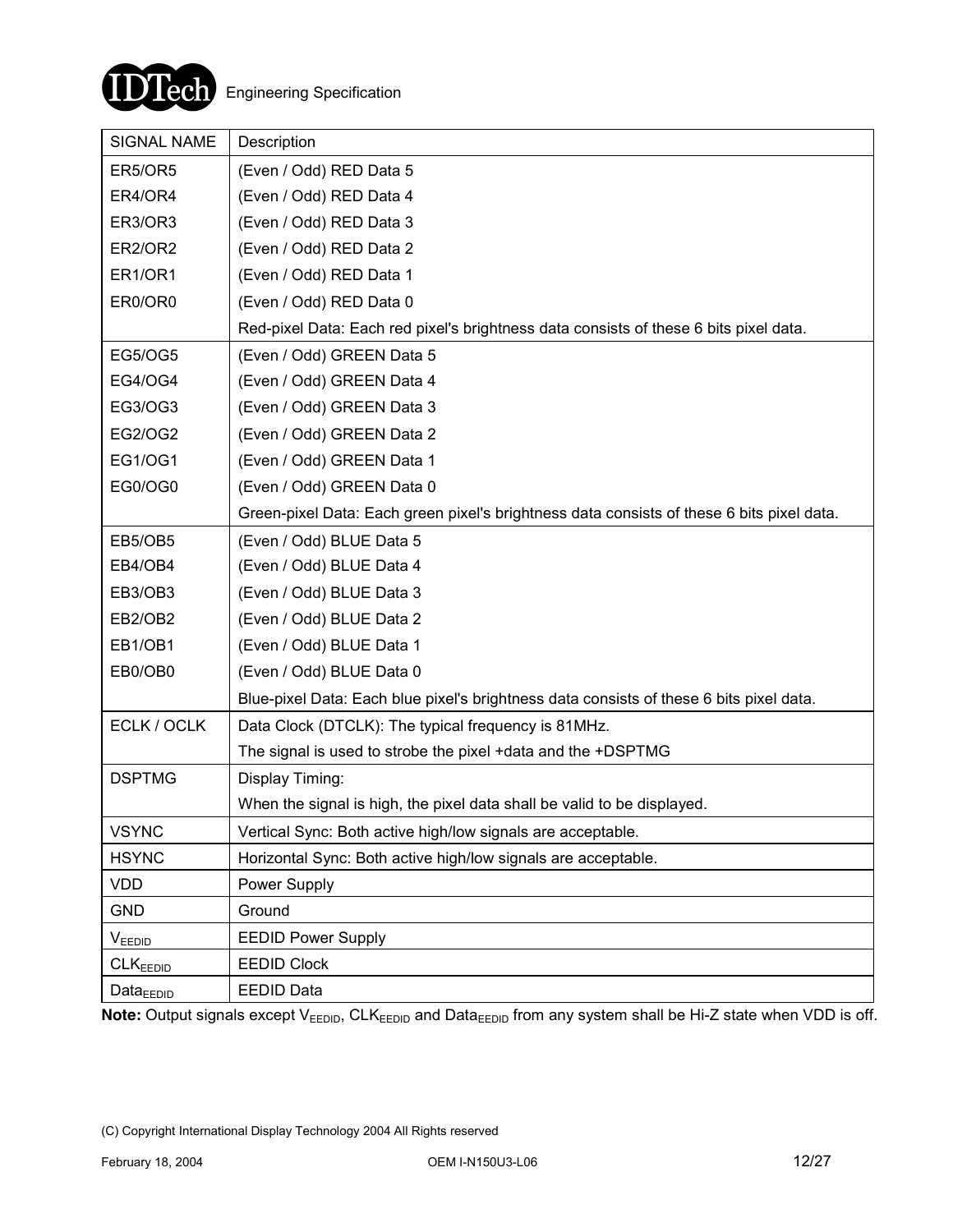

| <b>SIGNAL NAME</b>   | Description                                                                               |
|----------------------|-------------------------------------------------------------------------------------------|
| <b>ER5/OR5</b>       | (Even / Odd) RED Data 5                                                                   |
| ER4/OR4              | (Even / Odd) RED Data 4                                                                   |
| ER3/OR3              | (Even / Odd) RED Data 3                                                                   |
| <b>ER2/OR2</b>       | (Even / Odd) RED Data 2                                                                   |
| ER1/OR1              | (Even / Odd) RED Data 1                                                                   |
| ER0/OR0              | (Even / Odd) RED Data 0                                                                   |
|                      | Red-pixel Data: Each red pixel's brightness data consists of these 6 bits pixel data.     |
| <b>EG5/OG5</b>       | (Even / Odd) GREEN Data 5                                                                 |
| <b>EG4/OG4</b>       | (Even / Odd) GREEN Data 4                                                                 |
| EG3/OG3              | (Even / Odd) GREEN Data 3                                                                 |
| EG2/OG2              | (Even / Odd) GREEN Data 2                                                                 |
| <b>EG1/OG1</b>       | (Even / Odd) GREEN Data 1                                                                 |
| EG0/OG0              | (Even / Odd) GREEN Data 0                                                                 |
|                      | Green-pixel Data: Each green pixel's brightness data consists of these 6 bits pixel data. |
| EB5/OB5              | (Even / Odd) BLUE Data 5                                                                  |
| EB4/OB4              | (Even / Odd) BLUE Data 4                                                                  |
| EB3/OB3              | (Even / Odd) BLUE Data 3                                                                  |
| EB2/OB2              | (Even / Odd) BLUE Data 2                                                                  |
| EB1/OB1              | (Even / Odd) BLUE Data 1                                                                  |
| EB0/OB0              | (Even / Odd) BLUE Data 0                                                                  |
|                      | Blue-pixel Data: Each blue pixel's brightness data consists of these 6 bits pixel data.   |
| ECLK / OCLK          | Data Clock (DTCLK): The typical frequency is 81MHz.                                       |
|                      | The signal is used to strobe the pixel + data and the +DSPTMG                             |
| <b>DSPTMG</b>        | Display Timing:                                                                           |
|                      | When the signal is high, the pixel data shall be valid to be displayed.                   |
| <b>VSYNC</b>         | Vertical Sync: Both active high/low signals are acceptable.                               |
| <b>HSYNC</b>         | Horizontal Sync: Both active high/low signals are acceptable.                             |
| <b>VDD</b>           | Power Supply                                                                              |
| <b>GND</b>           | Ground                                                                                    |
| VEEDID               | <b>EEDID Power Supply</b>                                                                 |
| CLK <sub>EEDID</sub> | <b>EEDID Clock</b>                                                                        |
| Data <sub>EDID</sub> | <b>EEDID Data</b>                                                                         |

Note: Output signals except V<sub>EEDID</sub>, CLK<sub>EEDID</sub> and Data<sub>EEDID</sub> from any system shall be Hi-Z state when VDD is off.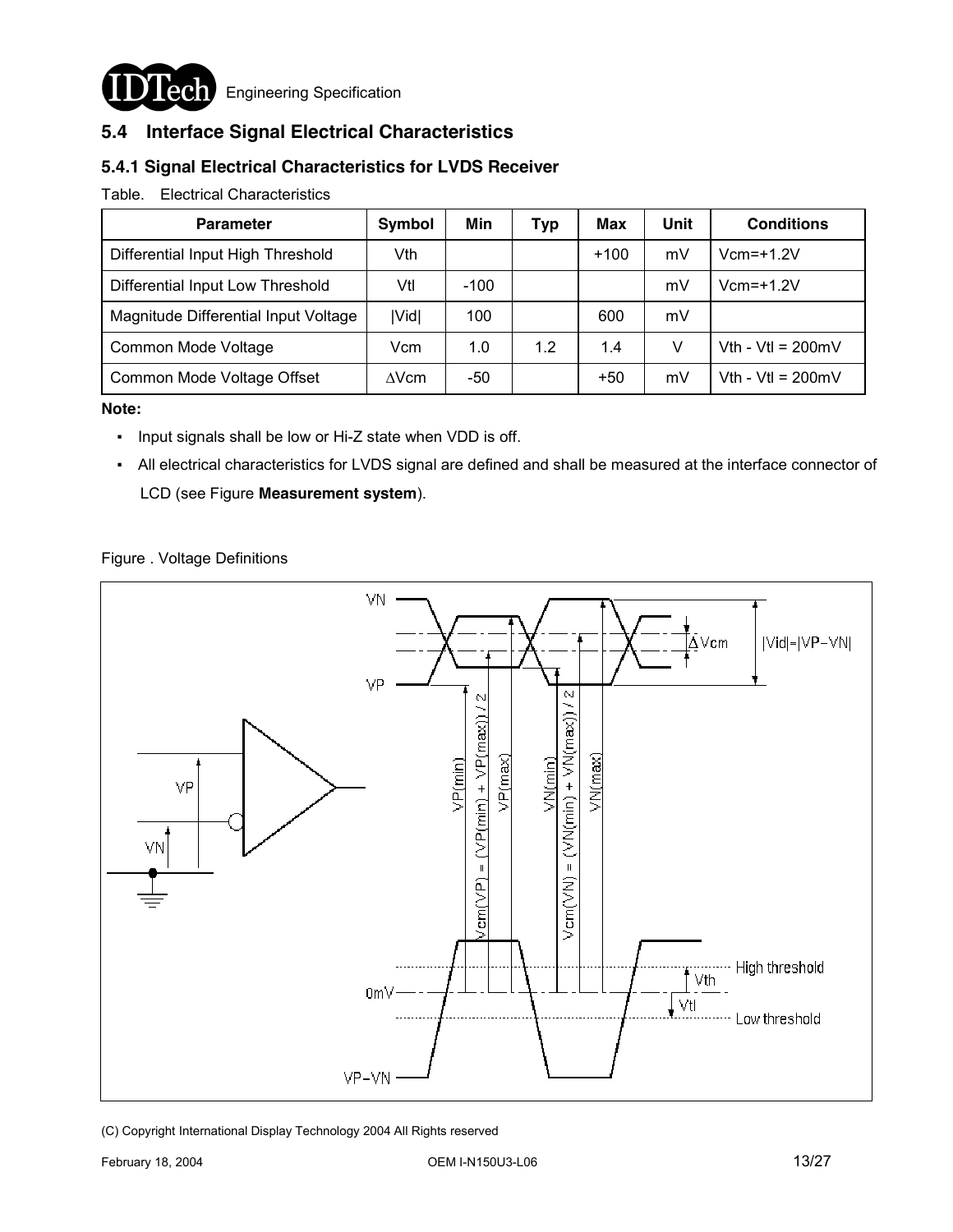

**Lech** Engineering Specification

### **5.4 Interface Signal Electrical Characteristics**

### **5.4.1 Signal Electrical Characteristics for LVDS Receiver**

#### Table. Electrical Characteristics

| <b>Parameter</b>                     | Symbol       | Min    | Typ | Max    | Unit | <b>Conditions</b>           |
|--------------------------------------|--------------|--------|-----|--------|------|-----------------------------|
| Differential Input High Threshold    | Vth          |        |     | $+100$ | mV   | $Vcm=+1.2V$                 |
| Differential Input Low Threshold     | Vtl          | $-100$ |     |        | mV   | $Vcm = +1.2V$               |
| Magnitude Differential Input Voltage | Vid          | 100    |     | 600    | mV   |                             |
| Common Mode Voltage                  | Vcm          | 1.0    | 1.2 | 1.4    | v    | Vth - Vtl = $200 \text{mV}$ |
| Common Mode Voltage Offset           | $\Delta$ Vcm | -50    |     | $+50$  | mV   | Vth - Vtl = $200 \text{mV}$ |

#### **Note:**

- Input signals shall be low or Hi-Z state when VDD is off.
- All electrical characteristics for LVDS signal are defined and shall be measured at the interface connector of LCD (see Figure **Measurement system**).

#### Figure . Voltage Definitions

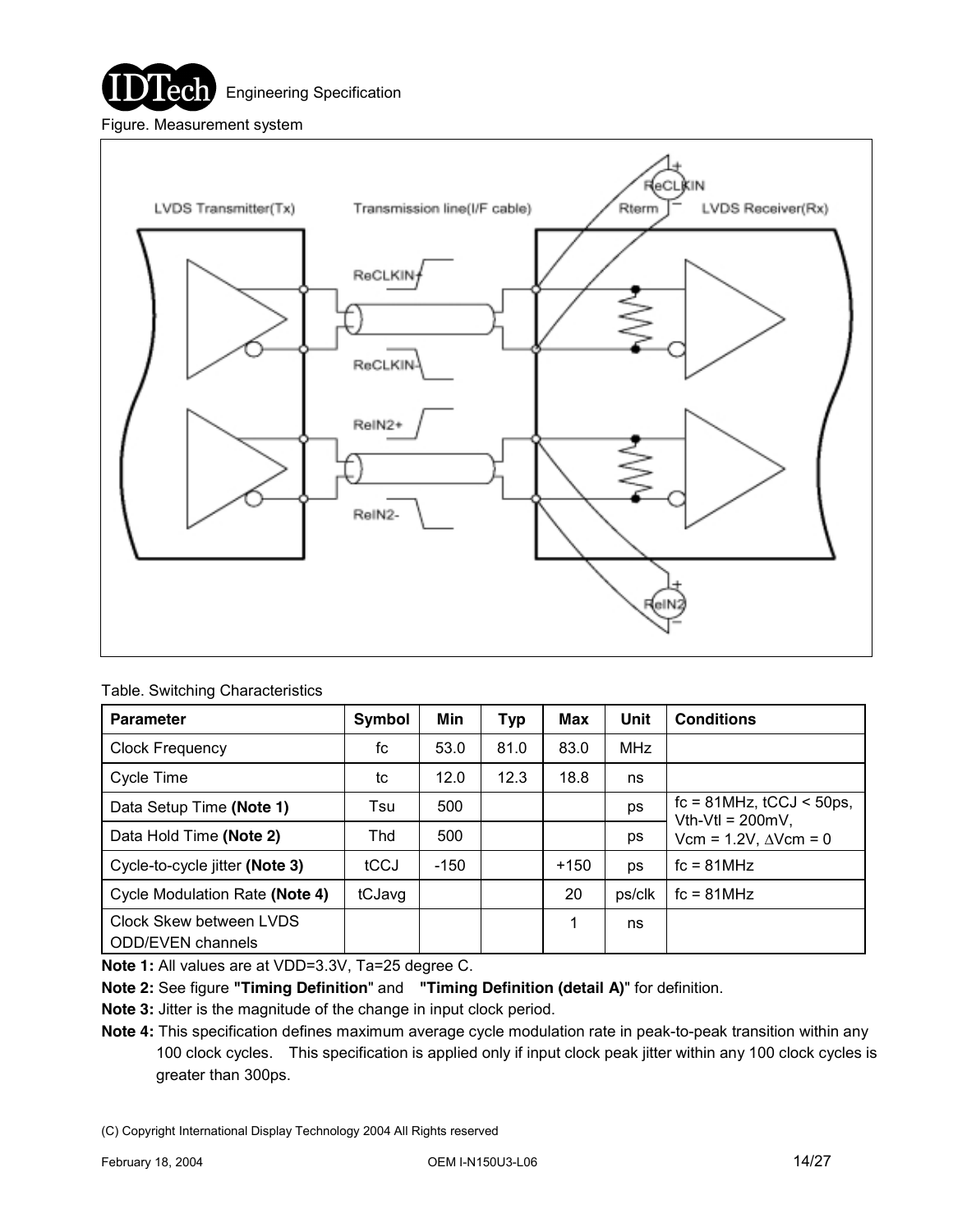



| Table. Switching Characteristics |  |
|----------------------------------|--|
|----------------------------------|--|

| <b>Parameter</b>               | Symbol | Min    | Typ  | Max    | Unit       | <b>Conditions</b>                                       |
|--------------------------------|--------|--------|------|--------|------------|---------------------------------------------------------|
| <b>Clock Frequency</b>         | fc     | 53.0   | 81.0 | 83.0   | <b>MHz</b> |                                                         |
| Cycle Time                     | tc     | 12.0   | 12.3 | 18.8   | ns         |                                                         |
| Data Setup Time (Note 1)       | Tsu    | 500    |      |        | ps         | $fc = 81 MHz$ , $tCCJ < 50 ps$ ,<br>Vth-Vtl = $200mV$ , |
| Data Hold Time (Note 2)        | Thd    | 500    |      |        | ps         | Vcm = $1.2V$ , $\Delta V$ cm = 0                        |
| Cycle-to-cycle jitter (Note 3) | tCCJ   | $-150$ |      | $+150$ | ps         | $fc = 81 MHz$                                           |
| Cycle Modulation Rate (Note 4) | tCJavg |        |      | 20     | ps/clk     | $fc = 81 MHz$                                           |
| Clock Skew between LVDS        |        |        |      | 1      | ns         |                                                         |
| <b>ODD/EVEN</b> channels       |        |        |      |        |            |                                                         |

**Note 1:** All values are at VDD=3.3V, Ta=25 degree C.

**Note 2:** See figure **"Timing Definition**" and **"Timing Definition (detail A)**" for definition.

**Note 3:** Jitter is the magnitude of the change in input clock period.

**Note 4:** This specification defines maximum average cycle modulation rate in peak-to-peak transition within any 100 clock cycles. This specification is applied only if input clock peak jitter within any 100 clock cycles is greater than 300ps.

<sup>(</sup>C) Copyright International Display Technology 2004 All Rights reserved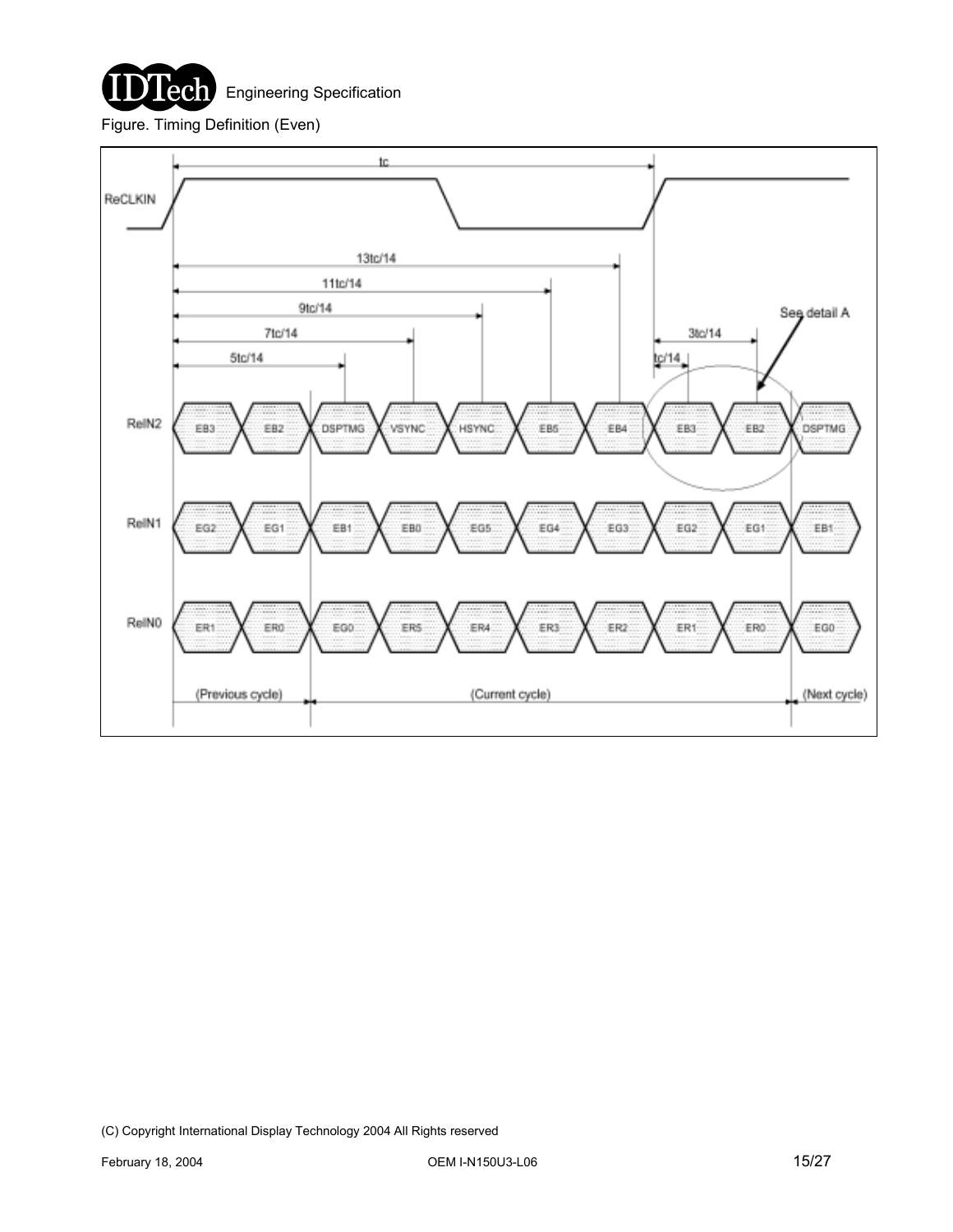

Engineering Specification

Figure. Timing Definition (Even)

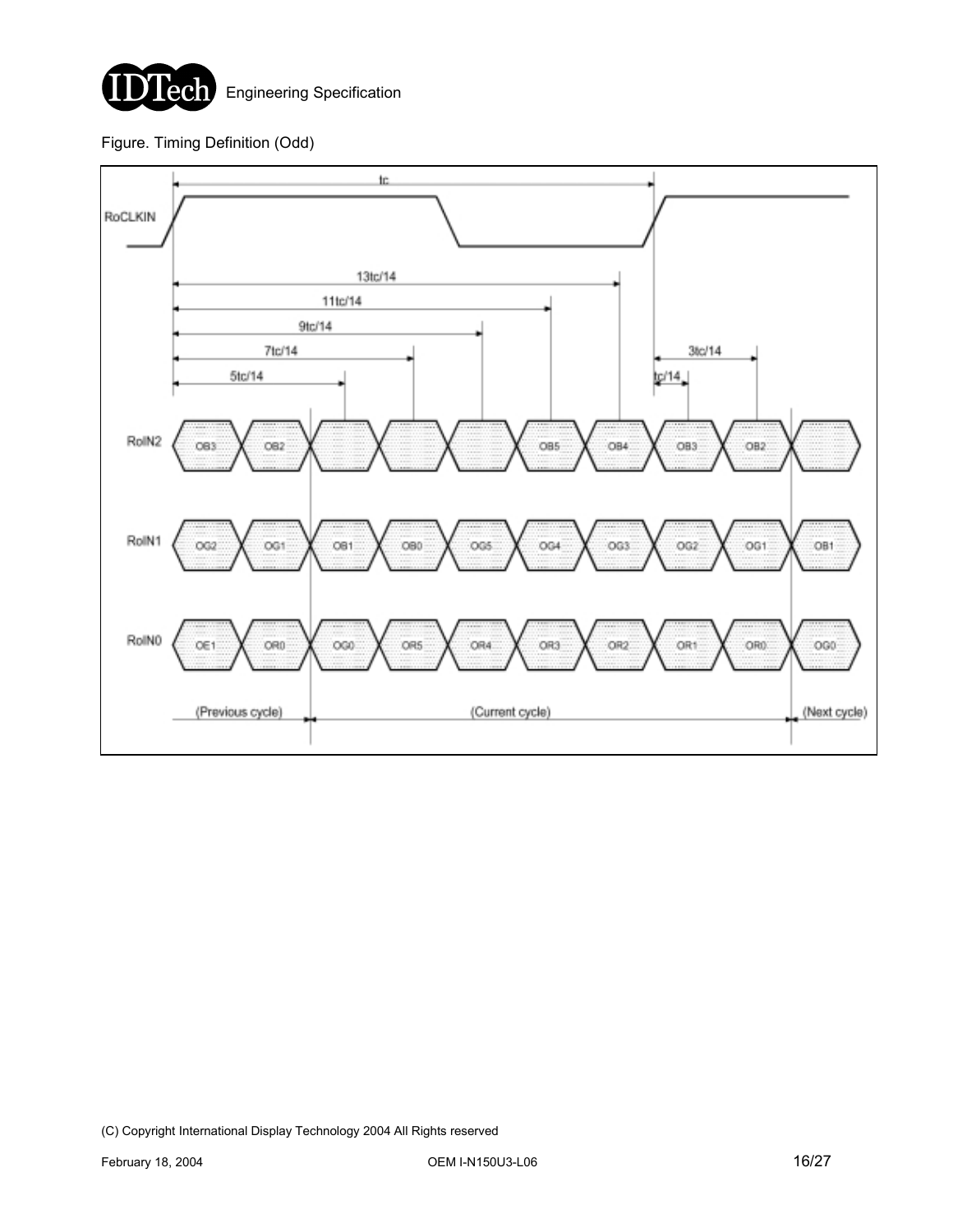

### Figure. Timing Definition (Odd)

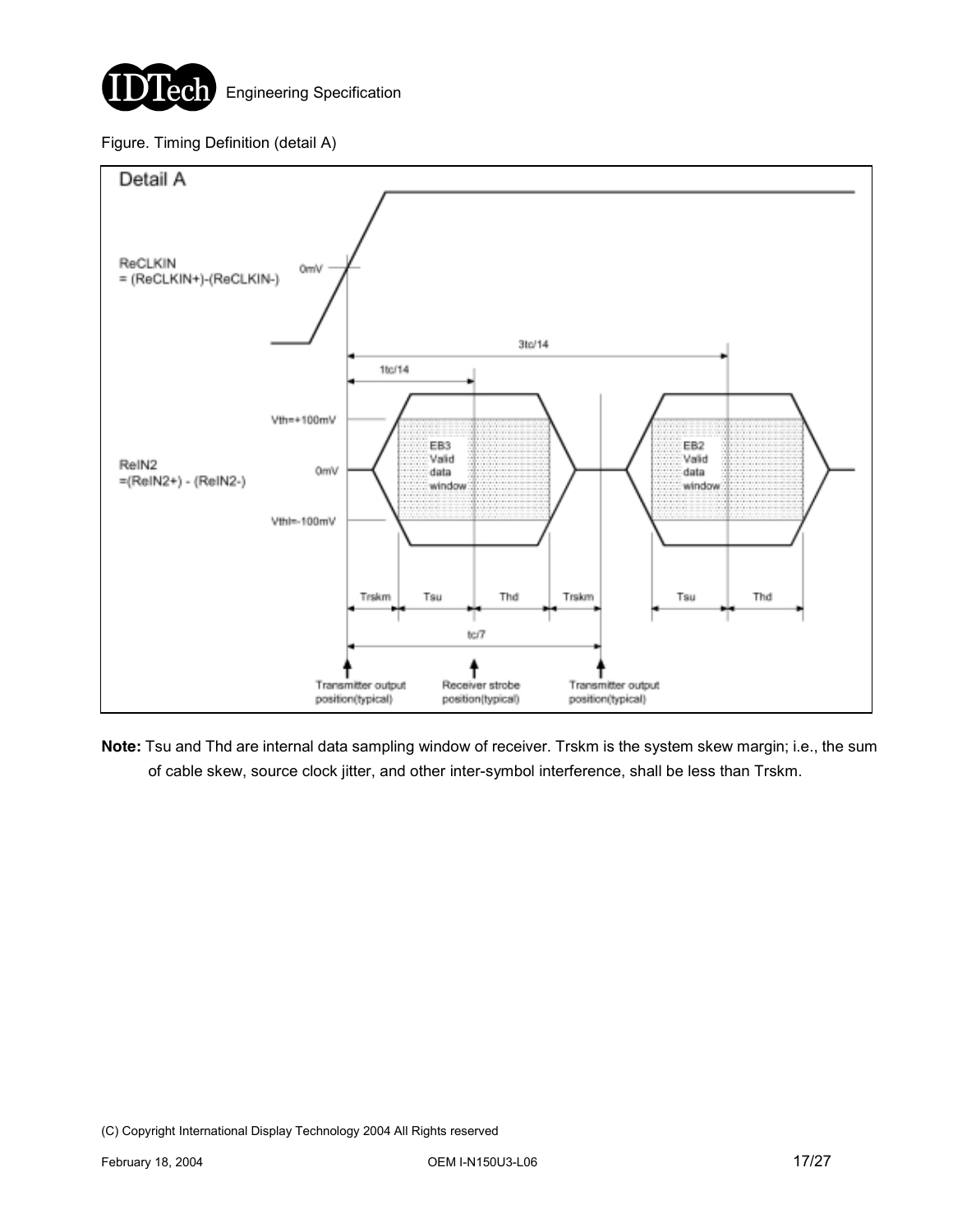

#### Figure. Timing Definition (detail A)



**Note:** Tsu and Thd are internal data sampling window of receiver. Trskm is the system skew margin; i.e., the sum of cable skew, source clock jitter, and other inter-symbol interference, shall be less than Trskm.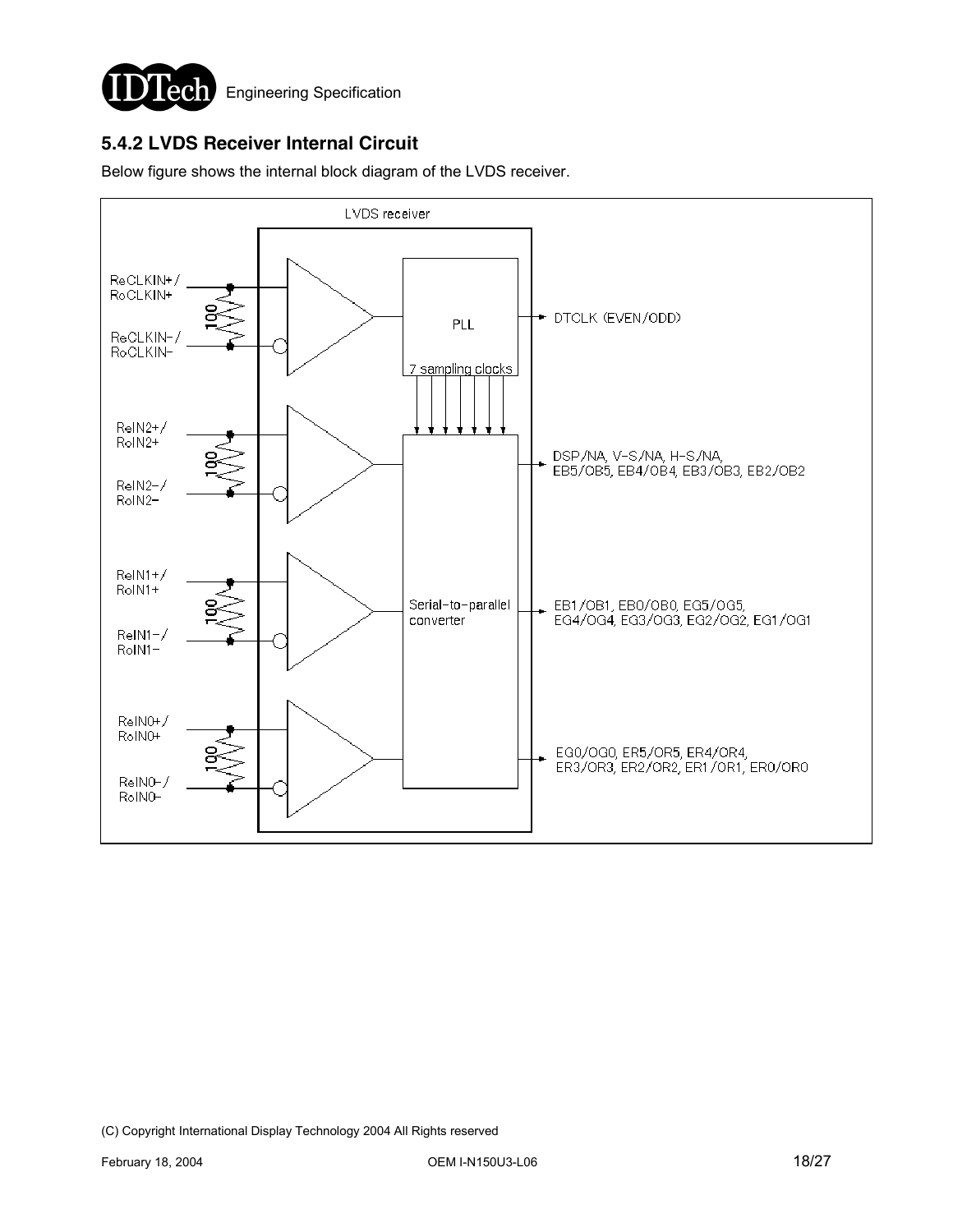

### **5.4.2 LVDS Receiver Internal Circuit**

Below figure shows the internal block diagram of the LVDS receiver.

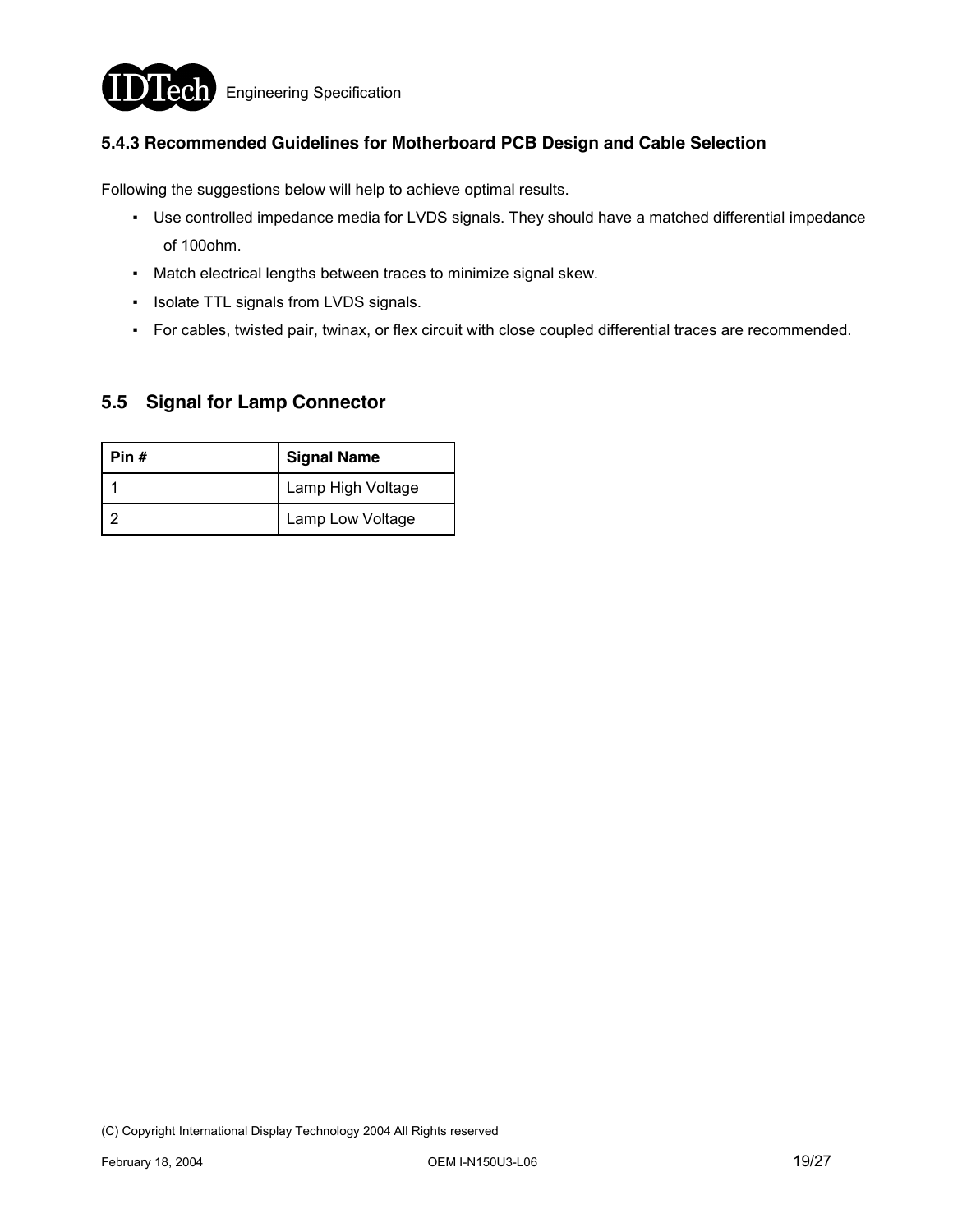

#### **5.4.3 Recommended Guidelines for Motherboard PCB Design and Cable Selection**

Following the suggestions below will help to achieve optimal results.

- Use controlled impedance media for LVDS signals. They should have a matched differential impedance of 100ohm.
- Match electrical lengths between traces to minimize signal skew.
- Isolate TTL signals from LVDS signals.
- For cables, twisted pair, twinax, or flex circuit with close coupled differential traces are recommended.

### **5.5 Signal for Lamp Connector**

| Pin # | <b>Signal Name</b> |
|-------|--------------------|
|       | Lamp High Voltage  |
|       | Lamp Low Voltage   |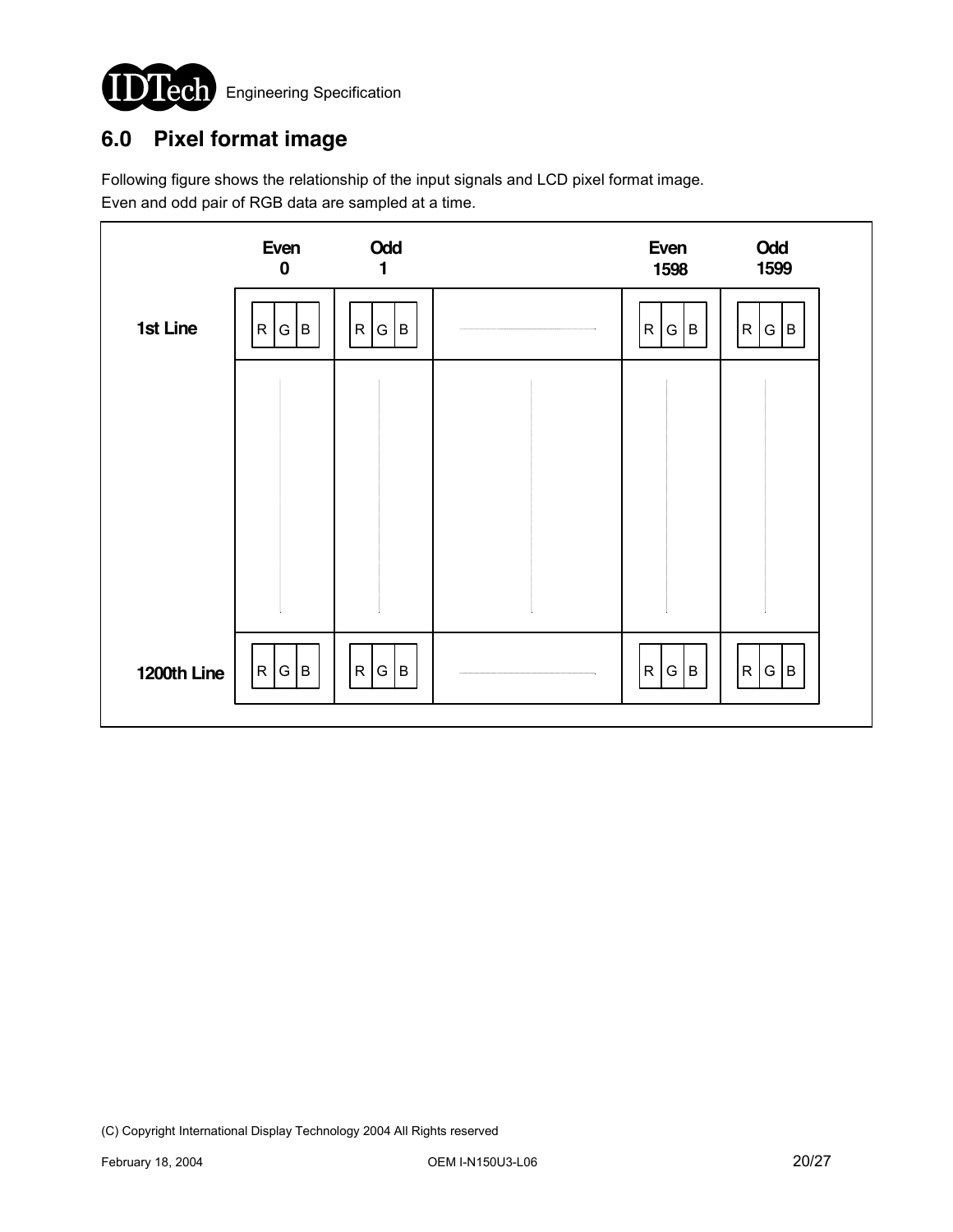

# **6.0 Pixel format image**

Following figure shows the relationship of the input signals and LCD pixel format image. Even and odd pair of RGB data are sampled at a time.

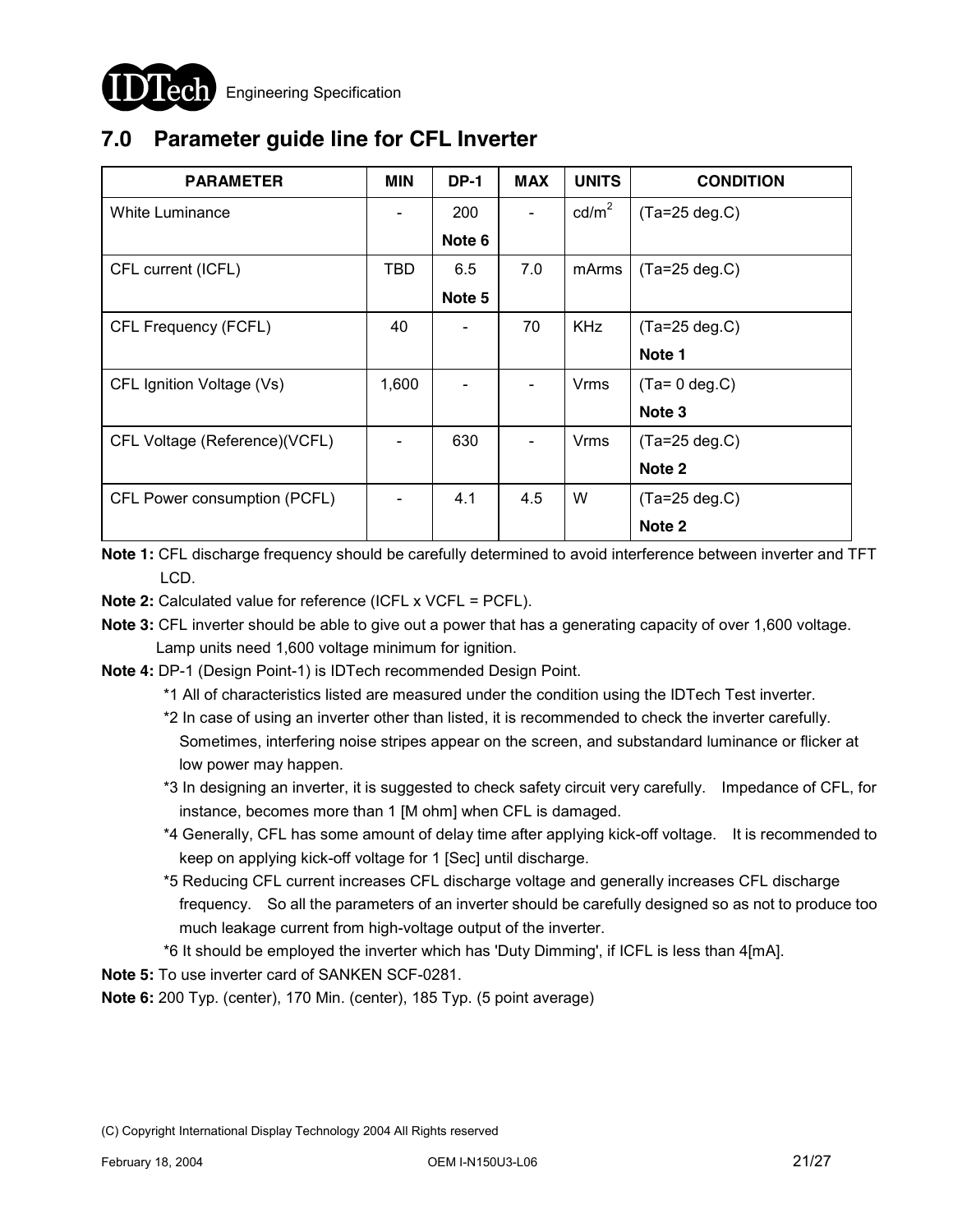

# **7.0 Parameter guide line for CFL Inverter**

| <b>PARAMETER</b>              | <b>MIN</b> | <b>DP-1</b> | <b>MAX</b> | <b>UNITS</b>    | <b>CONDITION</b>  |
|-------------------------------|------------|-------------|------------|-----------------|-------------------|
| <b>White Luminance</b>        |            | 200         |            | $\text{cd/m}^2$ | $(Ta=25 deg.C)$   |
|                               |            | Note 6      |            |                 |                   |
| CFL current (ICFL)            | TBD        | 6.5         | 7.0        | mArms           | $(Ta=25 \deg.C)$  |
|                               |            | Note 5      |            |                 |                   |
| CFL Frequency (FCFL)          | 40         |             | 70         | <b>KHz</b>      | $(Ta=25 \deg.C)$  |
|                               |            |             |            |                 | Note 1            |
| CFL Ignition Voltage (Vs)     | 1,600      |             |            | Vrms            | $(Ta=0 deg.C)$    |
|                               |            |             |            |                 | Note <sub>3</sub> |
| CFL Voltage (Reference)(VCFL) |            | 630         |            | <b>Vrms</b>     | $(Ta=25 deg.C)$   |
|                               |            |             |            |                 | Note 2            |
| CFL Power consumption (PCFL)  |            | 4.1         | 4.5        | W               | $(Ta=25 \deg.C)$  |
|                               |            |             |            |                 | Note 2            |

**Note 1:** CFL discharge frequency should be carefully determined to avoid interference between inverter and TFT LCD.

**Note 2:** Calculated value for reference (ICFL x VCFL = PCFL).

**Note 3:** CFL inverter should be able to give out a power that has a generating capacity of over 1,600 voltage. Lamp units need 1,600 voltage minimum for ignition.

**Note 4:** DP-1 (Design Point-1) is IDTech recommended Design Point.

- \*1 All of characteristics listed are measured under the condition using the IDTech Test inverter.
- \*2 In case of using an inverter other than listed, it is recommended to check the inverter carefully. Sometimes, interfering noise stripes appear on the screen, and substandard luminance or flicker at low power may happen.
- \*3 In designing an inverter, it is suggested to check safety circuit very carefully. Impedance of CFL, for instance, becomes more than 1 [M ohm] when CFL is damaged.
- \*4 Generally, CFL has some amount of delay time after applying kick-off voltage. It is recommended to keep on applying kick-off voltage for 1 [Sec] until discharge.
- \*5 Reducing CFL current increases CFL discharge voltage and generally increases CFL discharge frequency. So all the parameters of an inverter should be carefully designed so as not to produce too much leakage current from high-voltage output of the inverter.
- \*6 It should be employed the inverter which has 'Duty Dimming', if ICFL is less than 4[mA].

**Note 5:** To use inverter card of SANKEN SCF-0281.

**Note 6:** 200 Typ. (center), 170 Min. (center), 185 Typ. (5 point average)

<sup>(</sup>C) Copyright International Display Technology 2004 All Rights reserved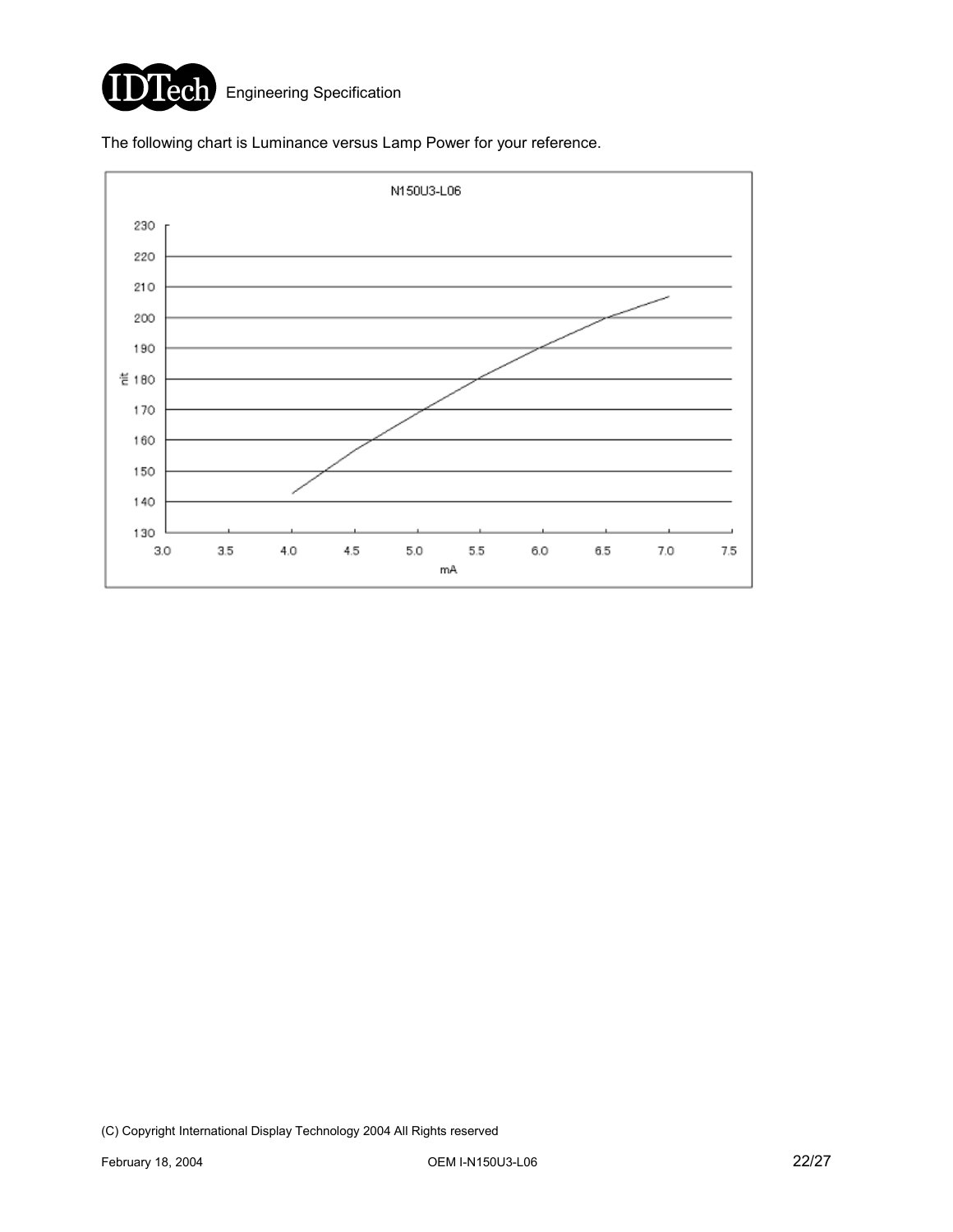

The following chart is Luminance versus Lamp Power for your reference.

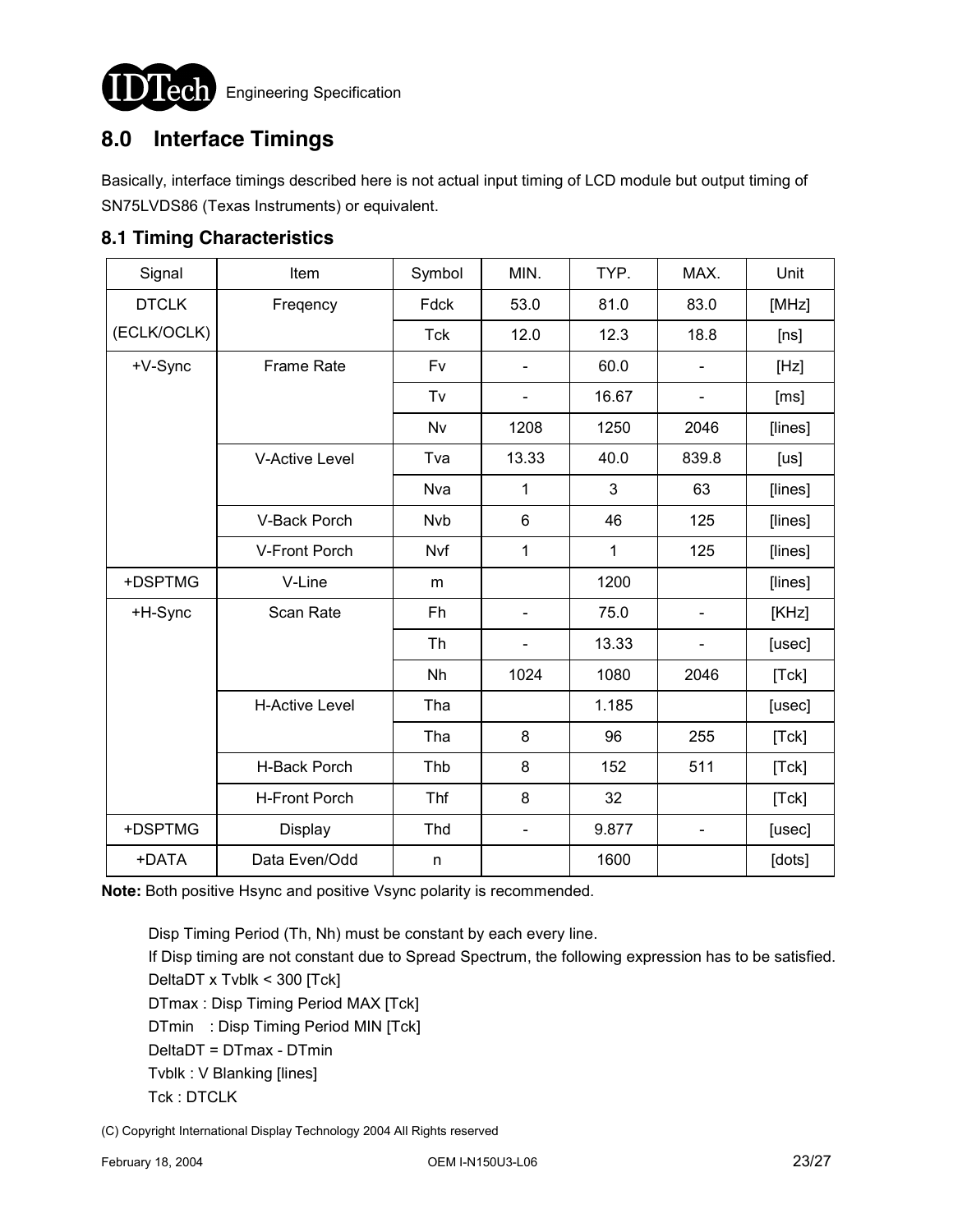

**LCCI** Engineering Specification

# **8.0 Interface Timings**

Basically, interface timings described here is not actual input timing of LCD module but output timing of SN75LVDS86 (Texas Instruments) or equivalent.

### **8.1 Timing Characteristics**

| Signal       | Item                  | Symbol     | MIN.                         | TYP.  | MAX.                         | Unit    |
|--------------|-----------------------|------------|------------------------------|-------|------------------------------|---------|
| <b>DTCLK</b> | Freqency              | Fdck       | 53.0                         | 81.0  | 83.0                         | [MHz]   |
| (ECLK/OCLK)  |                       | <b>Tck</b> | 12.0                         | 12.3  | 18.8                         | [ns]    |
| +V-Sync      | <b>Frame Rate</b>     | Fv         |                              | 60.0  |                              | [Hz]    |
|              |                       | Tv         | $\qquad \qquad \blacksquare$ | 16.67 | $\qquad \qquad \blacksquare$ | [ms]    |
|              |                       | Nv         | 1208                         | 1250  | 2046                         | [lines] |
|              | <b>V-Active Level</b> | Tva        | 13.33                        | 40.0  | 839.8                        | [us]    |
|              |                       | Nva        | 1                            | 3     | 63                           | [lines] |
|              | V-Back Porch          | <b>Nvb</b> | $6\phantom{1}$               | 46    | 125                          | [lines] |
|              | V-Front Porch         | Nvf        | 1                            | 1     | 125                          | [lines] |
| +DSPTMG      | V-Line                | m          |                              | 1200  |                              | [lines] |
| +H-Sync      | Scan Rate             | Fh         | $\qquad \qquad \blacksquare$ | 75.0  | $\qquad \qquad \blacksquare$ | [KHz]   |
|              |                       | Th         | $\qquad \qquad \blacksquare$ | 13.33 | $\overline{\phantom{0}}$     | [usec]  |
|              |                       | Nh         | 1024                         | 1080  | 2046                         | [Tck]   |
|              | <b>H-Active Level</b> | Tha        |                              | 1.185 |                              | [usec]  |
|              |                       | Tha        | 8                            | 96    | 255                          | [Tck]   |
|              | H-Back Porch          | Thb        | 8                            | 152   | 511                          | [Tck]   |
|              | <b>H-Front Porch</b>  | Thf        | 8                            | 32    |                              | [Tck]   |
| +DSPTMG      | <b>Display</b>        | Thd        | $\blacksquare$               | 9.877 | $\overline{\phantom{a}}$     | [usec]  |
| +DATA        | Data Even/Odd         | n          |                              | 1600  |                              | [dots]  |

**Note:** Both positive Hsync and positive Vsync polarity is recommended.

 Disp Timing Period (Th, Nh) must be constant by each every line. If Disp timing are not constant due to Spread Spectrum, the following expression has to be satisfied. DeltaDT x Tvblk < 300 [Tck] DTmax : Disp Timing Period MAX [Tck] DTmin : Disp Timing Period MIN [Tck] DeltaDT = DTmax - DTmin Tvblk : V Blanking [lines] Tck : DTCLK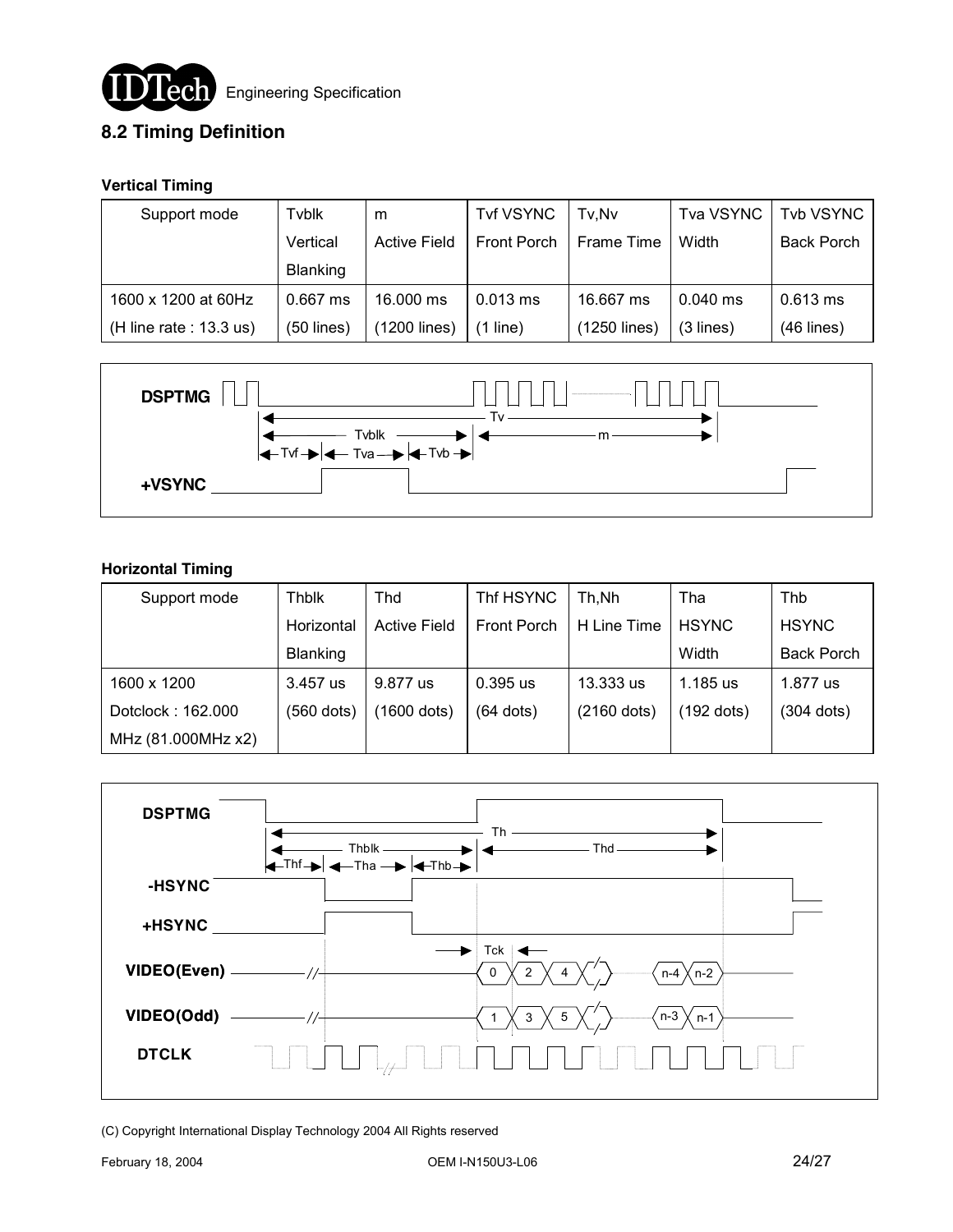

### **8.2 Timing Definition**

#### **Vertical Timing**

| Support mode              | Tyblk           | m                   | <b>Tvf VSYNC</b> | Tv.Nv        | <b>Tva VSYNC</b> | <b>Tvb VSYNC</b>  |
|---------------------------|-----------------|---------------------|------------------|--------------|------------------|-------------------|
|                           | Vertical        | <b>Active Field</b> | Front Porch      | Frame Time   | Width            | <b>Back Porch</b> |
|                           | <b>Blanking</b> |                     |                  |              |                  |                   |
| 1600 x 1200 at 60Hz       | $0.667$ ms      | 16,000 ms           | $0.013$ ms       | 16.667 ms    | $0.040$ ms       | $0.613$ ms        |
| (H line rate : $13.3$ us) | $(50$ lines)    | (1200 lines)        | $(1$ line)       | (1250 lines) | $(3$ lines)      | $(46$ lines)      |



#### **Horizontal Timing**

| Support mode       | <b>Thblk</b>    | <b>Thd</b>          | Thf HSYNC   | Th,Nh         | Tha          | Thb               |
|--------------------|-----------------|---------------------|-------------|---------------|--------------|-------------------|
|                    | Horizontal      | <b>Active Field</b> | Front Porch | H Line Time   | <b>HSYNC</b> | <b>HSYNC</b>      |
|                    | <b>Blanking</b> |                     |             |               | Width        | <b>Back Porch</b> |
| 1600 x 1200        | 3.457 us        | 9.877 us            | $0.395$ us  | 13.333 us     | 1.185 us     | 1.877 us          |
| Dotclock: 162.000  | $(560$ dots)    | (1600 dots)         | $(64$ dots) | $(2160$ dots) | $(192$ dots) | $(304$ dots)      |
| MHz (81.000MHz x2) |                 |                     |             |               |              |                   |

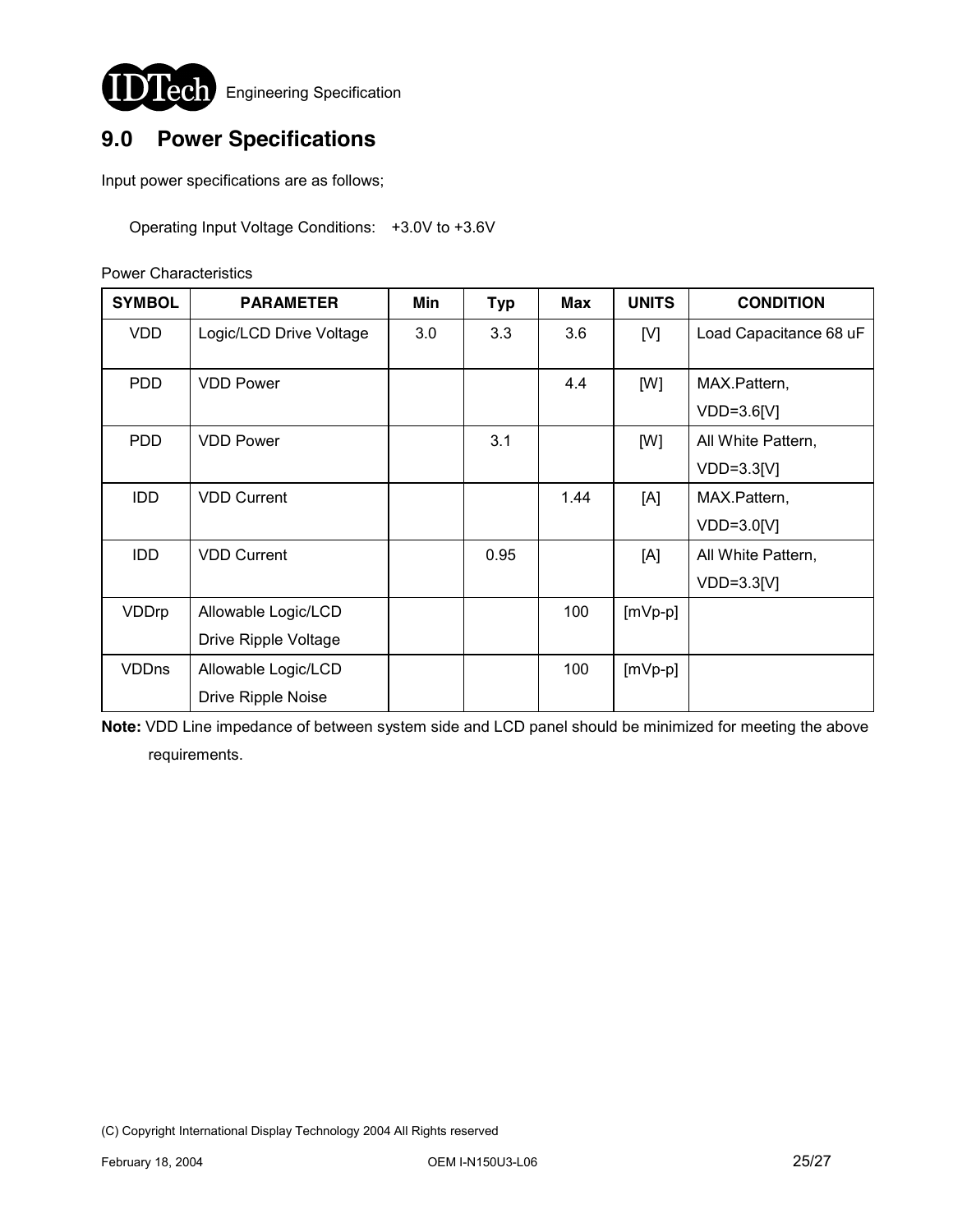

# **9.0 Power Specifications**

Input power specifications are as follows;

Operating Input Voltage Conditions: +3.0V to +3.6V

Power Characteristics

| <b>SYMBOL</b> | <b>PARAMETER</b>          | Min | <b>Typ</b> | Max  | <b>UNITS</b> | <b>CONDITION</b>       |
|---------------|---------------------------|-----|------------|------|--------------|------------------------|
| <b>VDD</b>    | Logic/LCD Drive Voltage   | 3.0 | 3.3        | 3.6  | [V]          | Load Capacitance 68 uF |
| <b>PDD</b>    | <b>VDD Power</b>          |     |            | 4.4  | [W]          | MAX.Pattern,           |
|               |                           |     |            |      |              | $VDD=3.6[V]$           |
| <b>PDD</b>    | <b>VDD Power</b>          |     | 3.1        |      | [W]          | All White Pattern,     |
|               |                           |     |            |      |              | $VDD=3.3[V]$           |
| <b>IDD</b>    | <b>VDD Current</b>        |     |            | 1.44 | [A]          | MAX.Pattern,           |
|               |                           |     |            |      |              | $VDD=3.0[V]$           |
| <b>IDD</b>    | <b>VDD Current</b>        |     | 0.95       |      | [A]          | All White Pattern,     |
|               |                           |     |            |      |              | $VDD=3.3[V]$           |
| VDDrp         | Allowable Logic/LCD       |     |            | 100  | $[mVp-p]$    |                        |
|               | Drive Ripple Voltage      |     |            |      |              |                        |
| <b>VDDns</b>  | Allowable Logic/LCD       |     |            | 100  | $[mVp-p]$    |                        |
|               | <b>Drive Ripple Noise</b> |     |            |      |              |                        |

**Note:** VDD Line impedance of between system side and LCD panel should be minimized for meeting the above requirements.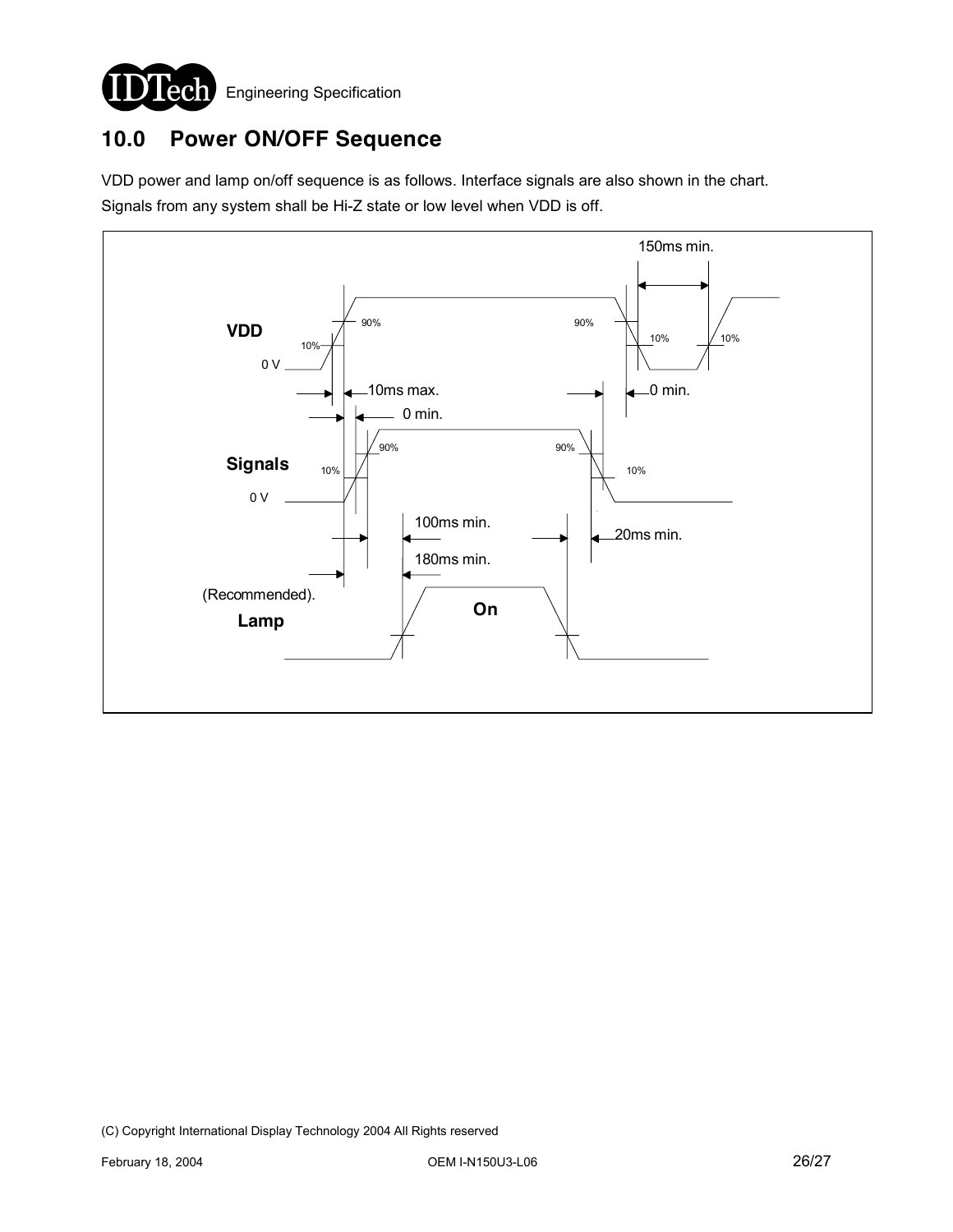

### **10.0 Power ON/OFF Sequence**

VDD power and lamp on/off sequence is as follows. Interface signals are also shown in the chart. Signals from any system shall be Hi-Z state or low level when VDD is off.